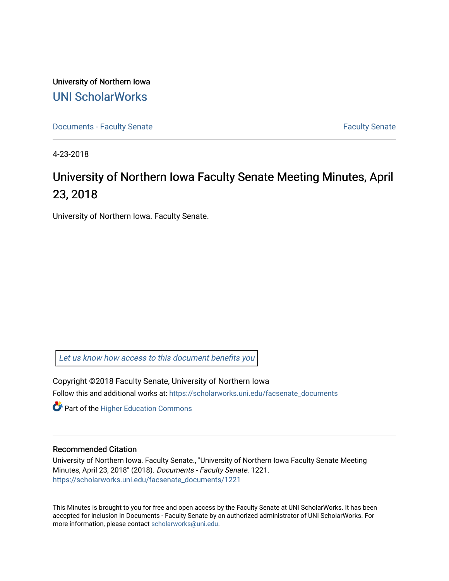University of Northern Iowa [UNI ScholarWorks](https://scholarworks.uni.edu/) 

[Documents - Faculty Senate](https://scholarworks.uni.edu/facsenate_documents) [Faculty Senate](https://scholarworks.uni.edu/facsenate) Faculty Senate

4-23-2018

# University of Northern Iowa Faculty Senate Meeting Minutes, April 23, 2018

University of Northern Iowa. Faculty Senate.

[Let us know how access to this document benefits you](https://scholarworks.uni.edu/feedback_form.html) 

Copyright ©2018 Faculty Senate, University of Northern Iowa Follow this and additional works at: [https://scholarworks.uni.edu/facsenate\\_documents](https://scholarworks.uni.edu/facsenate_documents?utm_source=scholarworks.uni.edu%2Ffacsenate_documents%2F1221&utm_medium=PDF&utm_campaign=PDFCoverPages) 

**Part of the Higher Education Commons** 

#### Recommended Citation

University of Northern Iowa. Faculty Senate., "University of Northern Iowa Faculty Senate Meeting Minutes, April 23, 2018" (2018). Documents - Faculty Senate. 1221. [https://scholarworks.uni.edu/facsenate\\_documents/1221](https://scholarworks.uni.edu/facsenate_documents/1221?utm_source=scholarworks.uni.edu%2Ffacsenate_documents%2F1221&utm_medium=PDF&utm_campaign=PDFCoverPages) 

This Minutes is brought to you for free and open access by the Faculty Senate at UNI ScholarWorks. It has been accepted for inclusion in Documents - Faculty Senate by an authorized administrator of UNI ScholarWorks. For more information, please contact [scholarworks@uni.edu.](mailto:scholarworks@uni.edu)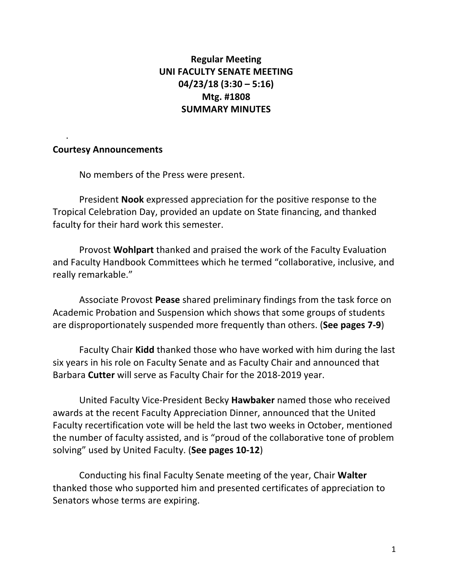## **Regular Meeting UNI FACULTY SENATE MEETING 04/23/18 (3:30 – 5:16) Mtg. #1808 SUMMARY MINUTES**

### **Courtesy Announcements**

.

No members of the Press were present.

President **Nook** expressed appreciation for the positive response to the Tropical Celebration Day, provided an update on State financing, and thanked faculty for their hard work this semester.

Provost **Wohlpart** thanked and praised the work of the Faculty Evaluation and Faculty Handbook Committees which he termed "collaborative, inclusive, and really remarkable."

Associate Provost **Pease** shared preliminary findings from the task force on Academic Probation and Suspension which shows that some groups of students are disproportionately suspended more frequently than others. (See pages 7-9)

Faculty Chair **Kidd** thanked those who have worked with him during the last six years in his role on Faculty Senate and as Faculty Chair and announced that Barbara **Cutter** will serve as Faculty Chair for the 2018-2019 year.

United Faculty Vice-President Becky **Hawbaker** named those who received awards at the recent Faculty Appreciation Dinner, announced that the United Faculty recertification vote will be held the last two weeks in October, mentioned the number of faculty assisted, and is "proud of the collaborative tone of problem solving" used by United Faculty. (**See pages 10-12**)

Conducting his final Faculty Senate meeting of the year, Chair Walter thanked those who supported him and presented certificates of appreciation to Senators whose terms are expiring.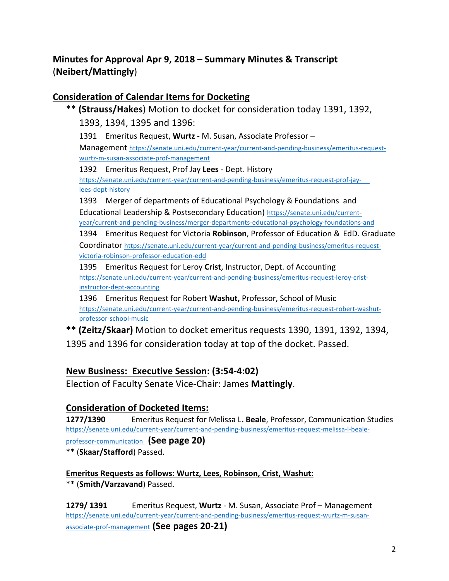# **Minutes for Approval Apr 9, 2018 – Summary Minutes & Transcript** (**Neibert/Mattingly**)

### **Consideration of Calendar Items for Docketing**

\*\* (Strauss/Hakes) Motion to docket for consideration today 1391, 1392, 1393, 1394, 1395 and 1396: 1391 Emeritus Request, Wurtz - M. Susan, Associate Professor – Management https://senate.uni.edu/current-year/current-and-pending-business/emeritus-requestwurtz-m-susan-associate-prof-management 1392 Emeritus Request, Prof Jay Lees - Dept. History https://senate.uni.edu/current-year/current-and-pending-business/emeritus-request-prof-jaylees-dept-history 1393 Merger of departments of Educational Psychology & Foundations and Educational Leadership & Postsecondary Education) https://senate.uni.edu/currentyear/current-and-pending-business/merger-departments-educational-psychology-foundations-and 1394 Emeritus Request for Victoria Robinson, Professor of Education & EdD. Graduate Coordinator https://senate.uni.edu/current-year/current-and-pending-business/emeritus-requestvictoria-robinson-professor-education-edd

1395 Emeritus Request for Leroy Crist, Instructor, Dept. of Accounting https://senate.uni.edu/current-year/current-and-pending-business/emeritus-request-leroy-cristinstructor-dept-accounting

1396 Emeritus Request for Robert Washut, Professor, School of Music https://senate.uni.edu/current-year/current-and-pending-business/emeritus-request-robert-washutprofessor-school-music

\*\* (Zeitz/Skaar) Motion to docket emeritus requests 1390, 1391, 1392, 1394, 1395 and 1396 for consideration today at top of the docket. Passed.

### **New Business: Executive Session: (3:54-4:02)**

Election of Faculty Senate Vice-Chair: James **Mattingly**.

### **Consideration of Docketed Items:**

**1277/1390** Emeritus Request for Melissa L. Beale, Professor, Communication Studies https://senate.uni.edu/current-year/current-and-pending-business/emeritus-request-melissa-l-beale-

### professor-communication **(See page 20)**

\*\* (**Skaar/Stafford**) Passed. 

**Emeritus Requests as follows: Wurtz, Lees, Robinson, Crist, Washut:** \*\* (Smith/Varzavand) Passed.

**1279/ 1391** Emeritus Request, Wurtz - M. Susan, Associate Prof – Management https://senate.uni.edu/current-year/current-and-pending-business/emeritus-request-wurtz-m-susanassociate-prof-management **(See pages 20-21)**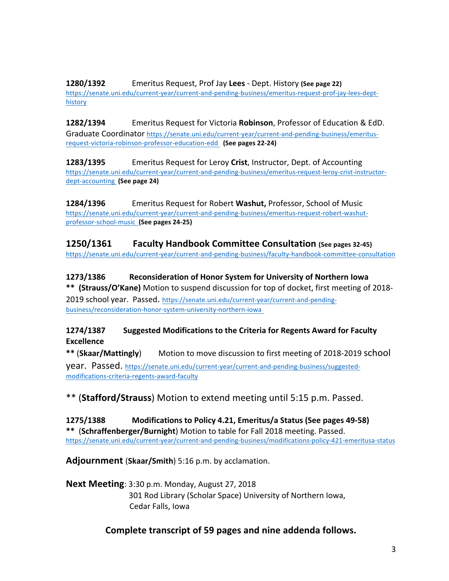**1280/1392** Emeritus Request, Prof Jay Lees - Dept. History (See page 22) https://senate.uni.edu/current-year/current-and-pending-business/emeritus-request-prof-jay-lees-depthistory

**1282/1394** Emeritus Request for Victoria **Robinson**, Professor of Education & EdD. Graduate Coordinator https://senate.uni.edu/current-year/current-and-pending-business/emeritusrequest-victoria-robinson-professor-education-edd (See pages 22-24)

**1283/1395** Emeritus Request for Leroy Crist, Instructor, Dept. of Accounting https://senate.uni.edu/current-year/current-and-pending-business/emeritus-request-leroy-crist-instructordept-accounting (See page 24)

**1284/1396** Emeritus Request for Robert Washut, Professor, School of Music https://senate.uni.edu/current-year/current-and-pending-business/emeritus-request-robert-washutprofessor-school-music **(See pages 24-25)**

**1250/1361 Faculty Handbook Committee Consultation (See pages 32-45)** https://senate.uni.edu/current-year/current-and-pending-business/faculty-handbook-committee-consultation

**1273/1386 Reconsideration of Honor System for University of Northern Iowa** \*\* (Strauss/O'Kane) Motion to suspend discussion for top of docket, first meeting of 2018-

2019 school year. Passed. https://senate.uni.edu/current-year/current-and-pendingbusiness/reconsideration-honor-system-university-northern-iowa

**1274/1387** Suggested Modifications to the Criteria for Regents Award for Faculty **Excellence**

\*\* (**Skaar/Mattingly**) Motion to move discussion to first meeting of 2018-2019 school **year.** Passed. https://senate.uni.edu/current-year/current-and-pending-business/suggestedmodifications-criteria-regents-award-faculty

\*\* (**Stafford/Strauss**) Motion to extend meeting until 5:15 p.m. Passed.

**1275/1388 Modifications to Policy 4.21, Emeritus/a Status (See pages 49-58) \*\*** (**Schraffenberger/Burnight**) Motion to table for Fall 2018 meeting. Passed. https://senate.uni.edu/current-year/current-and-pending-business/modifications-policy-421-emeritusa-status

**Adjournment** (Skaar/Smith) 5:16 p.m. by acclamation.

**Next Meeting**: 3:30 p.m. Monday, August 27, 2018 301 Rod Library (Scholar Space) University of Northern Iowa, Cedar Falls, Iowa

### **Complete transcript of 59 pages and nine addenda follows.**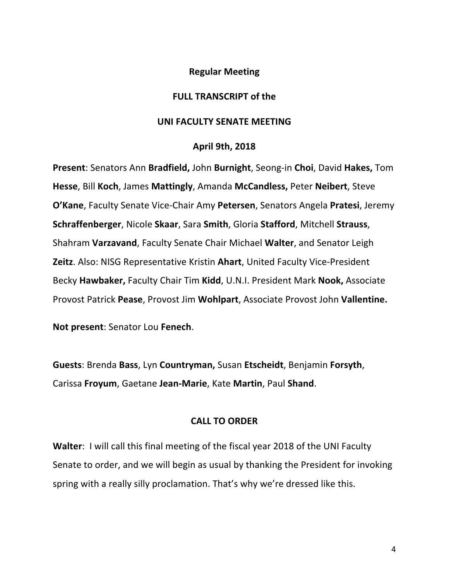### **Regular Meeting**

### **FULL TRANSCRIPT of the**

### **UNI FACULTY SENATE MEETING**

#### **April 9th, 2018**

**Present:** Senators Ann **Bradfield,** John **Burnight**, Seong-in Choi, David Hakes, Tom **Hesse, Bill Koch, James Mattingly, Amanda McCandless, Peter Neibert, Steve O'Kane**, Faculty Senate Vice-Chair Amy Petersen, Senators Angela Pratesi, Jeremy **Schraffenberger**, Nicole Skaar, Sara Smith, Gloria Stafford, Mitchell Strauss, **Shahram Varzavand, Faculty Senate Chair Michael Walter, and Senator Leigh Zeitz**. Also: NISG Representative Kristin **Ahart**, United Faculty Vice-President Becky Hawbaker, Faculty Chair Tim Kidd, U.N.I. President Mark Nook, Associate Provost Patrick Pease, Provost Jim Wohlpart, Associate Provost John Vallentine.

**Not present:** Senator Lou Fenech.

**Guests**: Brenda **Bass**, Lyn **Countryman,** Susan **Etscheidt**, Benjamin **Forsyth**, Carissa **Froyum**, Gaetane **Jean-Marie**, Kate **Martin**, Paul **Shand**.

### **CALL TO ORDER**

**Walter:** I will call this final meeting of the fiscal year 2018 of the UNI Faculty Senate to order, and we will begin as usual by thanking the President for invoking spring with a really silly proclamation. That's why we're dressed like this.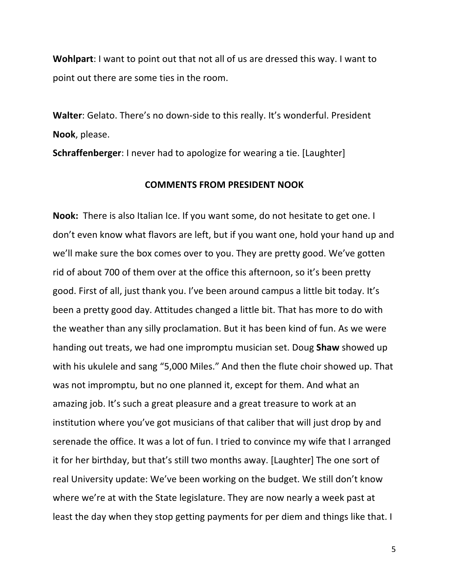**Wohlpart:** I want to point out that not all of us are dressed this way. I want to point out there are some ties in the room.

**Walter:** Gelato. There's no down-side to this really. It's wonderful. President Nook, please.

**Schraffenberger**: I never had to apologize for wearing a tie. [Laughter]

#### **COMMENTS FROM PRESIDENT NOOK**

**Nook:** There is also Italian Ice. If you want some, do not hesitate to get one. I don't even know what flavors are left, but if you want one, hold your hand up and we'll make sure the box comes over to you. They are pretty good. We've gotten rid of about 700 of them over at the office this afternoon, so it's been pretty good. First of all, just thank you. I've been around campus a little bit today. It's been a pretty good day. Attitudes changed a little bit. That has more to do with the weather than any silly proclamation. But it has been kind of fun. As we were handing out treats, we had one impromptu musician set. Doug **Shaw** showed up with his ukulele and sang "5,000 Miles." And then the flute choir showed up. That was not impromptu, but no one planned it, except for them. And what an amazing job. It's such a great pleasure and a great treasure to work at an institution where you've got musicians of that caliber that will just drop by and serenade the office. It was a lot of fun. I tried to convince my wife that I arranged it for her birthday, but that's still two months away. [Laughter] The one sort of real University update: We've been working on the budget. We still don't know where we're at with the State legislature. They are now nearly a week past at least the day when they stop getting payments for per diem and things like that. I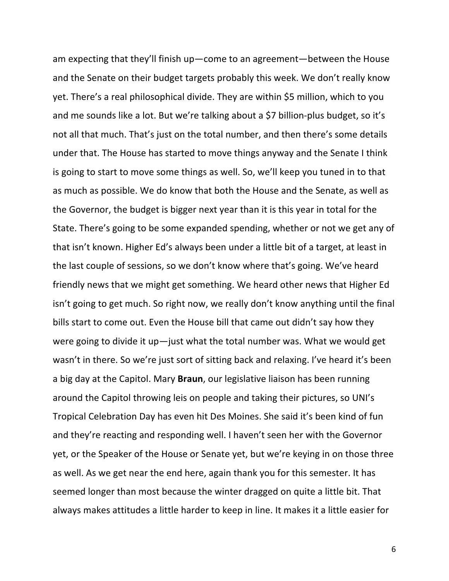am expecting that they'll finish up—come to an agreement—between the House and the Senate on their budget targets probably this week. We don't really know yet. There's a real philosophical divide. They are within \$5 million, which to you and me sounds like a lot. But we're talking about a \$7 billion-plus budget, so it's not all that much. That's just on the total number, and then there's some details under that. The House has started to move things anyway and the Senate I think is going to start to move some things as well. So, we'll keep you tuned in to that as much as possible. We do know that both the House and the Senate, as well as the Governor, the budget is bigger next year than it is this year in total for the State. There's going to be some expanded spending, whether or not we get any of that isn't known. Higher Ed's always been under a little bit of a target, at least in the last couple of sessions, so we don't know where that's going. We've heard friendly news that we might get something. We heard other news that Higher Ed isn't going to get much. So right now, we really don't know anything until the final bills start to come out. Even the House bill that came out didn't say how they were going to divide it up—just what the total number was. What we would get wasn't in there. So we're just sort of sitting back and relaxing. I've heard it's been a big day at the Capitol. Mary **Braun**, our legislative liaison has been running around the Capitol throwing leis on people and taking their pictures, so UNI's Tropical Celebration Day has even hit Des Moines. She said it's been kind of fun and they're reacting and responding well. I haven't seen her with the Governor yet, or the Speaker of the House or Senate yet, but we're keying in on those three as well. As we get near the end here, again thank you for this semester. It has seemed longer than most because the winter dragged on quite a little bit. That always makes attitudes a little harder to keep in line. It makes it a little easier for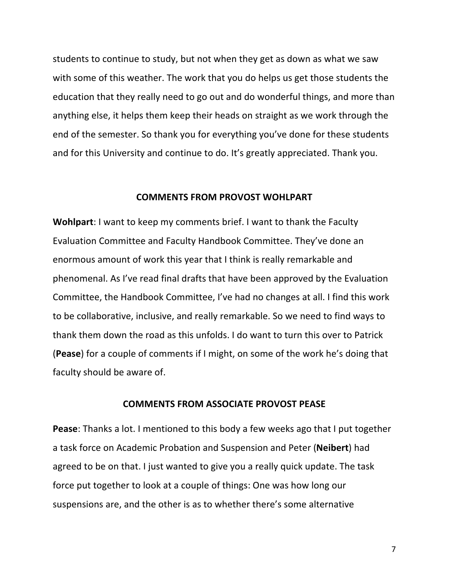students to continue to study, but not when they get as down as what we saw with some of this weather. The work that you do helps us get those students the education that they really need to go out and do wonderful things, and more than anything else, it helps them keep their heads on straight as we work through the end of the semester. So thank you for everything you've done for these students and for this University and continue to do. It's greatly appreciated. Thank you.

#### **COMMENTS FROM PROVOST WOHLPART**

**Wohlpart**: I want to keep my comments brief. I want to thank the Faculty Evaluation Committee and Faculty Handbook Committee. They've done an enormous amount of work this year that I think is really remarkable and phenomenal. As I've read final drafts that have been approved by the Evaluation Committee, the Handbook Committee, I've had no changes at all. I find this work to be collaborative, inclusive, and really remarkable. So we need to find ways to thank them down the road as this unfolds. I do want to turn this over to Patrick (Pease) for a couple of comments if I might, on some of the work he's doing that faculty should be aware of.

#### **COMMENTS FROM ASSOCIATE PROVOST PEASE**

**Pease**: Thanks a lot. I mentioned to this body a few weeks ago that I put together a task force on Academic Probation and Suspension and Peter (**Neibert**) had agreed to be on that. I just wanted to give you a really quick update. The task force put together to look at a couple of things: One was how long our suspensions are, and the other is as to whether there's some alternative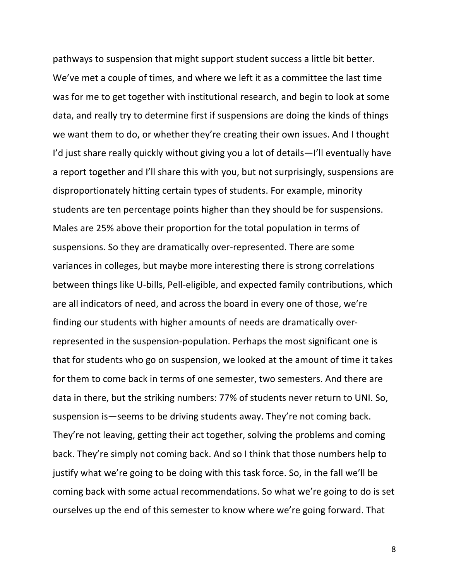pathways to suspension that might support student success a little bit better. We've met a couple of times, and where we left it as a committee the last time was for me to get together with institutional research, and begin to look at some data, and really try to determine first if suspensions are doing the kinds of things we want them to do, or whether they're creating their own issues. And I thought I'd just share really quickly without giving you a lot of details—I'll eventually have a report together and I'll share this with you, but not surprisingly, suspensions are disproportionately hitting certain types of students. For example, minority students are ten percentage points higher than they should be for suspensions. Males are 25% above their proportion for the total population in terms of suspensions. So they are dramatically over-represented. There are some variances in colleges, but maybe more interesting there is strong correlations between things like U-bills, Pell-eligible, and expected family contributions, which are all indicators of need, and across the board in every one of those, we're finding our students with higher amounts of needs are dramatically overrepresented in the suspension-population. Perhaps the most significant one is that for students who go on suspension, we looked at the amount of time it takes for them to come back in terms of one semester, two semesters. And there are data in there, but the striking numbers: 77% of students never return to UNI. So, suspension is—seems to be driving students away. They're not coming back. They're not leaving, getting their act together, solving the problems and coming back. They're simply not coming back. And so I think that those numbers help to justify what we're going to be doing with this task force. So, in the fall we'll be coming back with some actual recommendations. So what we're going to do is set ourselves up the end of this semester to know where we're going forward. That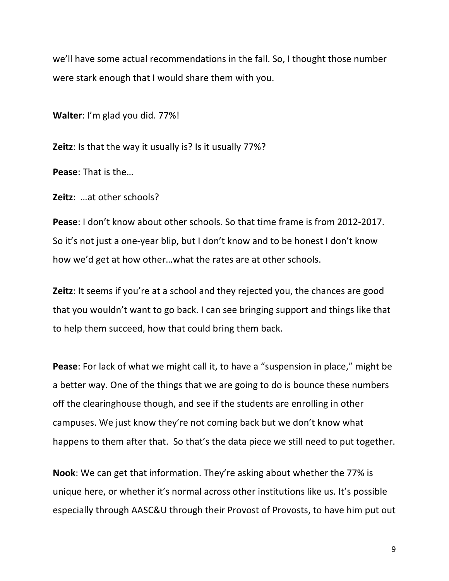we'll have some actual recommendations in the fall. So, I thought those number were stark enough that I would share them with you.

**Walter:** I'm glad you did. 77%!

**Zeitz**: Is that the way it usually is? Is it usually 77%?

**Pease:** That is the...

**Zeitz:** ...at other schools?

**Pease**: I don't know about other schools. So that time frame is from 2012-2017. So it's not just a one-year blip, but I don't know and to be honest I don't know how we'd get at how other...what the rates are at other schools.

**Zeitz**: It seems if you're at a school and they rejected you, the chances are good that you wouldn't want to go back. I can see bringing support and things like that to help them succeed, how that could bring them back.

**Pease**: For lack of what we might call it, to have a "suspension in place," might be a better way. One of the things that we are going to do is bounce these numbers off the clearinghouse though, and see if the students are enrolling in other campuses. We just know they're not coming back but we don't know what happens to them after that. So that's the data piece we still need to put together.

**Nook**: We can get that information. They're asking about whether the 77% is unique here, or whether it's normal across other institutions like us. It's possible especially through AASC&U through their Provost of Provosts, to have him put out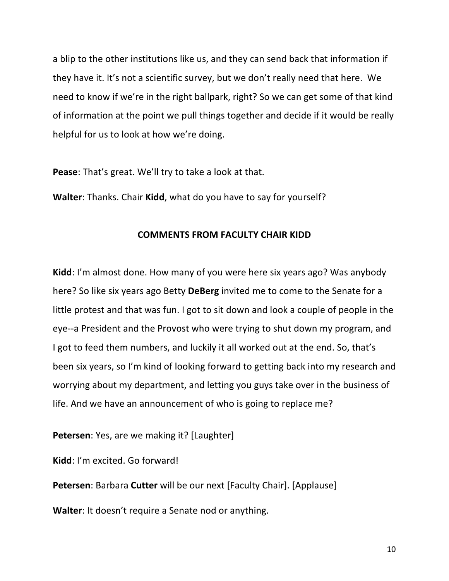a blip to the other institutions like us, and they can send back that information if they have it. It's not a scientific survey, but we don't really need that here. We need to know if we're in the right ballpark, right? So we can get some of that kind of information at the point we pull things together and decide if it would be really helpful for us to look at how we're doing.

**Pease:** That's great. We'll try to take a look at that.

**Walter:** Thanks. Chair **Kidd**, what do you have to say for yourself?

### **COMMENTS FROM FACULTY CHAIR KIDD**

**Kidd**: I'm almost done. How many of you were here six years ago? Was anybody here? So like six years ago Betty **DeBerg** invited me to come to the Senate for a little protest and that was fun. I got to sit down and look a couple of people in the eye--a President and the Provost who were trying to shut down my program, and I got to feed them numbers, and luckily it all worked out at the end. So, that's been six years, so I'm kind of looking forward to getting back into my research and worrying about my department, and letting you guys take over in the business of life. And we have an announcement of who is going to replace me?

**Petersen**: Yes, are we making it? [Laughter]

**Kidd**: I'm excited. Go forward!

**Petersen:** Barbara **Cutter** will be our next [Faculty Chair]. [Applause]

**Walter:** It doesn't require a Senate nod or anything.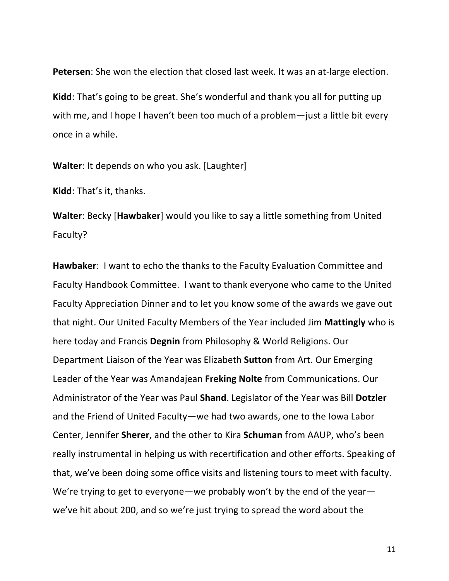Petersen: She won the election that closed last week. It was an at-large election. Kidd: That's going to be great. She's wonderful and thank you all for putting up with me, and I hope I haven't been too much of a problem—just a little bit every once in a while.

**Walter**: It depends on who you ask. [Laughter]

**Kidd**: That's it, thanks.

**Walter:** Becky [Hawbaker] would you like to say a little something from United Faculty?

Hawbaker: I want to echo the thanks to the Faculty Evaluation Committee and Faculty Handbook Committee. I want to thank everyone who came to the United Faculty Appreciation Dinner and to let you know some of the awards we gave out that night. Our United Faculty Members of the Year included Jim **Mattingly** who is here today and Francis Degnin from Philosophy & World Religions. Our Department Liaison of the Year was Elizabeth **Sutton** from Art. Our Emerging Leader of the Year was Amandajean Freking Nolte from Communications. Our Administrator of the Year was Paul **Shand**. Legislator of the Year was Bill Dotzler and the Friend of United Faculty—we had two awards, one to the lowa Labor Center, Jennifer **Sherer**, and the other to Kira **Schuman** from AAUP, who's been really instrumental in helping us with recertification and other efforts. Speaking of that, we've been doing some office visits and listening tours to meet with faculty. We're trying to get to everyone—we probably won't by the end of the year we've hit about 200, and so we're just trying to spread the word about the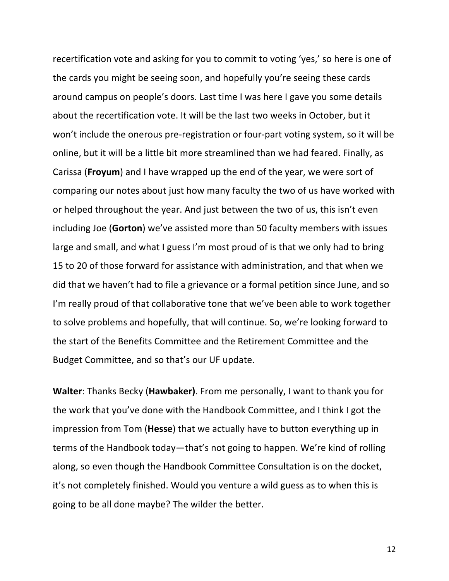recertification vote and asking for you to commit to voting 'yes,' so here is one of the cards you might be seeing soon, and hopefully you're seeing these cards around campus on people's doors. Last time I was here I gave you some details about the recertification vote. It will be the last two weeks in October, but it won't include the onerous pre-registration or four-part voting system, so it will be online, but it will be a little bit more streamlined than we had feared. Finally, as Carissa (**Froyum**) and I have wrapped up the end of the year, we were sort of comparing our notes about just how many faculty the two of us have worked with or helped throughout the year. And just between the two of us, this isn't even including Joe (Gorton) we've assisted more than 50 faculty members with issues large and small, and what I guess I'm most proud of is that we only had to bring 15 to 20 of those forward for assistance with administration, and that when we did that we haven't had to file a grievance or a formal petition since June, and so I'm really proud of that collaborative tone that we've been able to work together to solve problems and hopefully, that will continue. So, we're looking forward to the start of the Benefits Committee and the Retirement Committee and the Budget Committee, and so that's our UF update.

**Walter:** Thanks Becky (**Hawbaker)**. From me personally, I want to thank you for the work that you've done with the Handbook Committee, and I think I got the impression from Tom (**Hesse**) that we actually have to button everything up in terms of the Handbook today—that's not going to happen. We're kind of rolling along, so even though the Handbook Committee Consultation is on the docket, it's not completely finished. Would you venture a wild guess as to when this is going to be all done maybe? The wilder the better.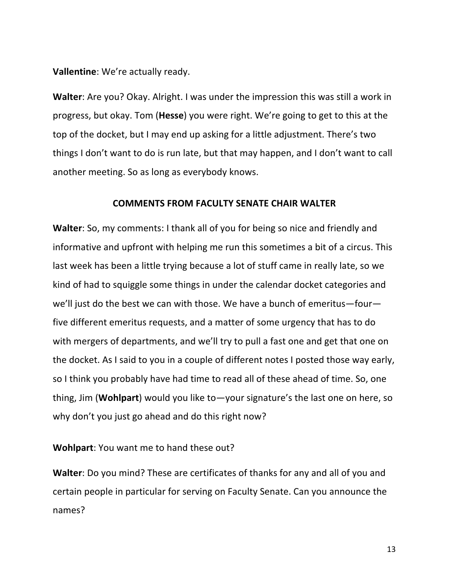**Vallentine:** We're actually ready.

**Walter:** Are you? Okay. Alright. I was under the impression this was still a work in progress, but okay. Tom (**Hesse**) you were right. We're going to get to this at the top of the docket, but I may end up asking for a little adjustment. There's two things I don't want to do is run late, but that may happen, and I don't want to call another meeting. So as long as everybody knows.

### **COMMENTS FROM FACULTY SENATE CHAIR WALTER**

**Walter**: So, my comments: I thank all of you for being so nice and friendly and informative and upfront with helping me run this sometimes a bit of a circus. This last week has been a little trying because a lot of stuff came in really late, so we kind of had to squiggle some things in under the calendar docket categories and we'll just do the best we can with those. We have a bunch of emeritus—four five different emeritus requests, and a matter of some urgency that has to do with mergers of departments, and we'll try to pull a fast one and get that one on the docket. As I said to you in a couple of different notes I posted those way early, so I think you probably have had time to read all of these ahead of time. So, one thing, Jim (**Wohlpart**) would you like to—your signature's the last one on here, so why don't you just go ahead and do this right now?

### **Wohlpart:** You want me to hand these out?

**Walter:** Do you mind? These are certificates of thanks for any and all of you and certain people in particular for serving on Faculty Senate. Can you announce the names?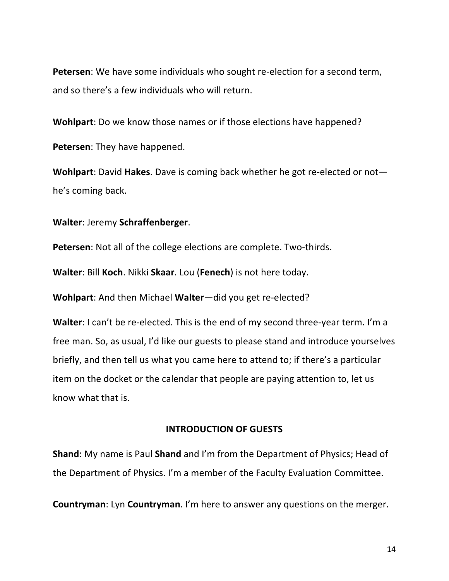**Petersen**: We have some individuals who sought re-election for a second term, and so there's a few individuals who will return.

**Wohlpart**: Do we know those names or if those elections have happened? **Petersen:** They have happened.

**Wohlpart:** David Hakes. Dave is coming back whether he got re-elected or not he's coming back.

**Walter**: Jeremy **Schraffenberger**.

**Petersen:** Not all of the college elections are complete. Two-thirds.

**Walter: Bill Koch. Nikki Skaar.** Lou (Fenech) is not here today.

**Wohlpart:** And then Michael **Walter**—did you get re-elected?

**Walter**: I can't be re-elected. This is the end of my second three-year term. I'm a free man. So, as usual, I'd like our guests to please stand and introduce yourselves briefly, and then tell us what you came here to attend to; if there's a particular item on the docket or the calendar that people are paying attention to, let us know what that is.

### **INTRODUCTION OF GUESTS**

**Shand**: My name is Paul **Shand** and I'm from the Department of Physics; Head of the Department of Physics. I'm a member of the Faculty Evaluation Committee.

**Countryman:** Lyn **Countryman**. I'm here to answer any questions on the merger.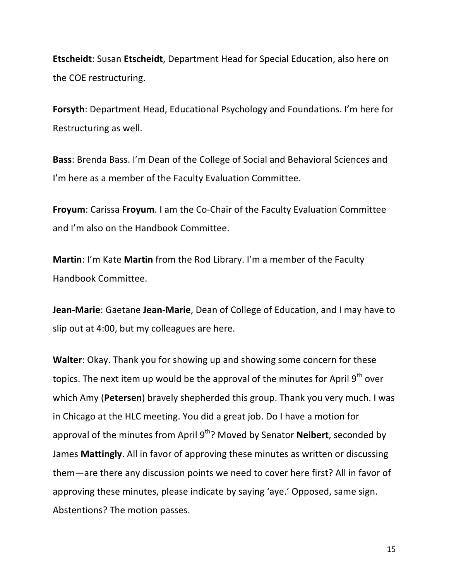**Etscheidt:** Susan Etscheidt, Department Head for Special Education, also here on the COE restructuring.

**Forsyth:** Department Head, Educational Psychology and Foundations. I'm here for Restructuring as well.

**Bass**: Brenda Bass. I'm Dean of the College of Social and Behavioral Sciences and I'm here as a member of the Faculty Evaluation Committee.

**Froyum:** Carissa Froyum. I am the Co-Chair of the Faculty Evaluation Committee and I'm also on the Handbook Committee.

**Martin:** I'm Kate **Martin** from the Rod Library. I'm a member of the Faculty Handbook Committee.

**Jean-Marie:** Gaetane Jean-Marie, Dean of College of Education, and I may have to slip out at 4:00, but my colleagues are here.

**Walter:** Okay. Thank you for showing up and showing some concern for these topics. The next item up would be the approval of the minutes for April  $9<sup>th</sup>$  over which Amy (**Petersen**) bravely shepherded this group. Thank you very much. I was in Chicago at the HLC meeting. You did a great job. Do I have a motion for approval of the minutes from April 9<sup>th</sup>? Moved by Senator **Neibert**, seconded by James Mattingly. All in favor of approving these minutes as written or discussing them—are there any discussion points we need to cover here first? All in favor of approving these minutes, please indicate by saying 'aye.' Opposed, same sign. Abstentions? The motion passes.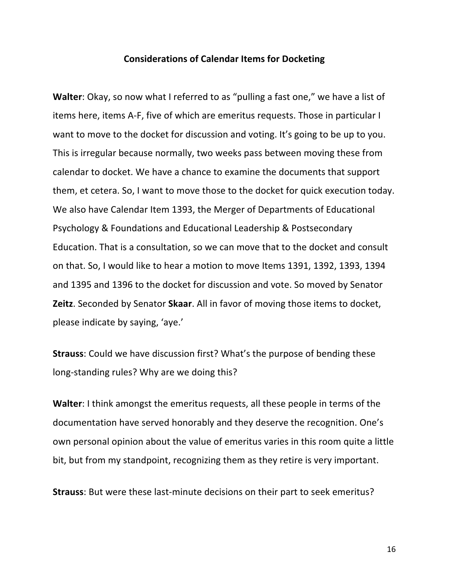#### **Considerations of Calendar Items for Docketing**

**Walter:** Okay, so now what I referred to as "pulling a fast one," we have a list of items here, items A-F, five of which are emeritus requests. Those in particular I want to move to the docket for discussion and voting. It's going to be up to you. This is irregular because normally, two weeks pass between moving these from calendar to docket. We have a chance to examine the documents that support them, et cetera. So, I want to move those to the docket for quick execution today. We also have Calendar Item 1393, the Merger of Departments of Educational Psychology & Foundations and Educational Leadership & Postsecondary Education. That is a consultation, so we can move that to the docket and consult on that. So, I would like to hear a motion to move Items 1391, 1392, 1393, 1394 and 1395 and 1396 to the docket for discussion and vote. So moved by Senator **Zeitz**. Seconded by Senator **Skaar**. All in favor of moving those items to docket, please indicate by saying, 'aye.'

**Strauss:** Could we have discussion first? What's the purpose of bending these long-standing rules? Why are we doing this?

**Walter:** I think amongst the emeritus requests, all these people in terms of the documentation have served honorably and they deserve the recognition. One's own personal opinion about the value of emeritus varies in this room quite a little bit, but from my standpoint, recognizing them as they retire is very important.

**Strauss:** But were these last-minute decisions on their part to seek emeritus?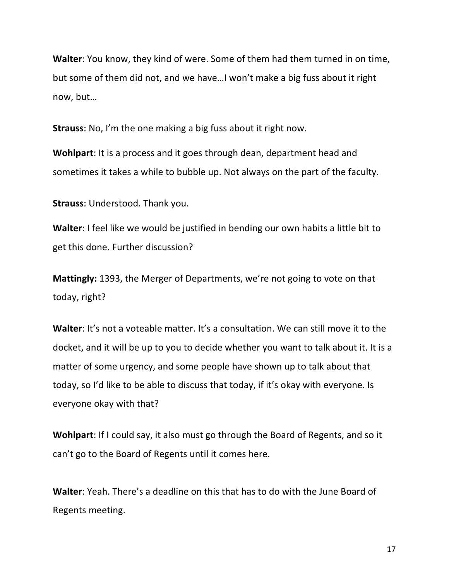**Walter:** You know, they kind of were. Some of them had them turned in on time, but some of them did not, and we have... I won't make a big fuss about it right now, but...

**Strauss:** No, I'm the one making a big fuss about it right now.

**Wohlpart:** It is a process and it goes through dean, department head and sometimes it takes a while to bubble up. Not always on the part of the faculty.

**Strauss:** Understood. Thank you.

**Walter:** I feel like we would be justified in bending our own habits a little bit to get this done. Further discussion?

**Mattingly:** 1393, the Merger of Departments, we're not going to vote on that today, right?

**Walter**: It's not a voteable matter. It's a consultation. We can still move it to the docket, and it will be up to you to decide whether you want to talk about it. It is a matter of some urgency, and some people have shown up to talk about that today, so I'd like to be able to discuss that today, if it's okay with everyone. Is everyone okay with that?

**Wohlpart:** If I could say, it also must go through the Board of Regents, and so it can't go to the Board of Regents until it comes here.

**Walter:** Yeah. There's a deadline on this that has to do with the June Board of Regents meeting.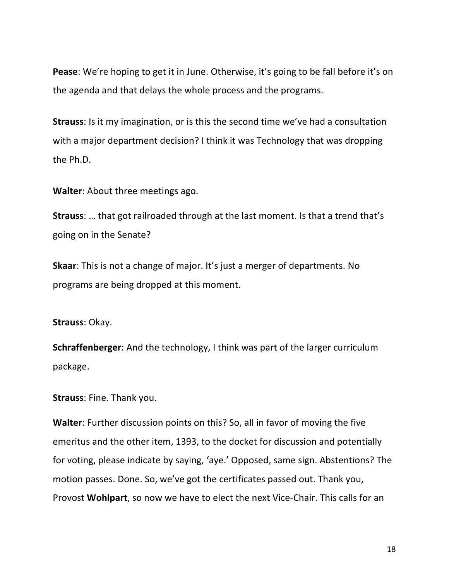**Pease**: We're hoping to get it in June. Otherwise, it's going to be fall before it's on the agenda and that delays the whole process and the programs.

**Strauss:** Is it my imagination, or is this the second time we've had a consultation with a major department decision? I think it was Technology that was dropping the Ph.D.

**Walter:** About three meetings ago.

**Strauss:** ... that got railroaded through at the last moment. Is that a trend that's going on in the Senate?

**Skaar:** This is not a change of major. It's just a merger of departments. No programs are being dropped at this moment.

**Strauss: Okay.** 

**Schraffenberger**: And the technology, I think was part of the larger curriculum package.

**Strauss: Fine. Thank you.** 

**Walter:** Further discussion points on this? So, all in favor of moving the five emeritus and the other item, 1393, to the docket for discussion and potentially for voting, please indicate by saying, 'aye.' Opposed, same sign. Abstentions? The motion passes. Done. So, we've got the certificates passed out. Thank you, Provost **Wohlpart**, so now we have to elect the next Vice-Chair. This calls for an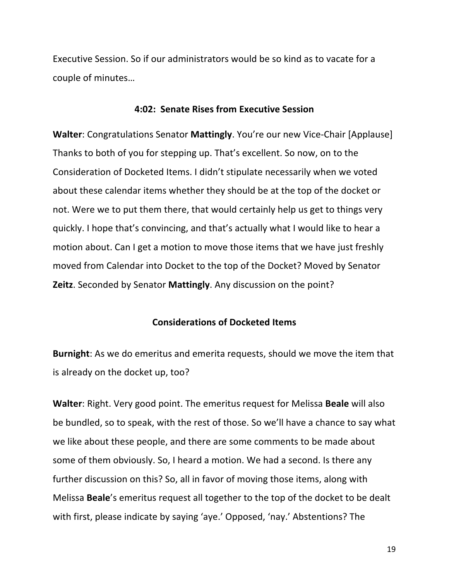Executive Session. So if our administrators would be so kind as to vacate for a couple of minutes...

### **4:02: Senate Rises from Executive Session**

**Walter:** Congratulations Senator **Mattingly**. You're our new Vice-Chair [Applause] Thanks to both of you for stepping up. That's excellent. So now, on to the Consideration of Docketed Items. I didn't stipulate necessarily when we voted about these calendar items whether they should be at the top of the docket or not. Were we to put them there, that would certainly help us get to things very quickly. I hope that's convincing, and that's actually what I would like to hear a motion about. Can I get a motion to move those items that we have just freshly moved from Calendar into Docket to the top of the Docket? Moved by Senator **Zeitz**. Seconded by Senator **Mattingly**. Any discussion on the point?

#### **Considerations of Docketed Items**

**Burnight**: As we do emeritus and emerita requests, should we move the item that is already on the docket up, too?

**Walter:** Right. Very good point. The emeritus request for Melissa **Beale** will also be bundled, so to speak, with the rest of those. So we'll have a chance to say what we like about these people, and there are some comments to be made about some of them obviously. So, I heard a motion. We had a second. Is there any further discussion on this? So, all in favor of moving those items, along with Melissa **Beale**'s emeritus request all together to the top of the docket to be dealt with first, please indicate by saying 'aye.' Opposed, 'nay.' Abstentions? The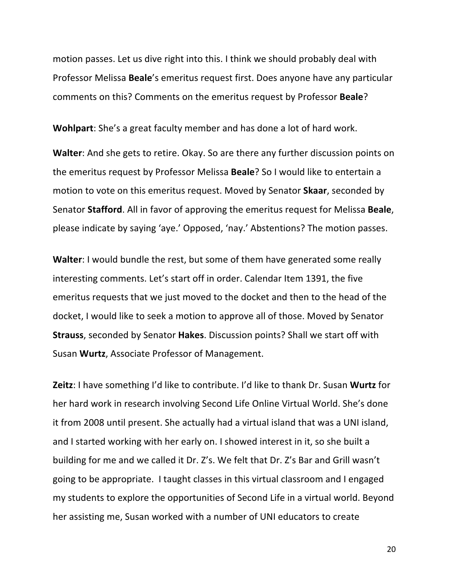motion passes. Let us dive right into this. I think we should probably deal with Professor Melissa **Beale**'s emeritus request first. Does anyone have any particular comments on this? Comments on the emeritus request by Professor **Beale**?

**Wohlpart**: She's a great faculty member and has done a lot of hard work.

**Walter:** And she gets to retire. Okay. So are there any further discussion points on the emeritus request by Professor Melissa **Beale**? So I would like to entertain a motion to vote on this emeritus request. Moved by Senator **Skaar**, seconded by Senator **Stafford**. All in favor of approving the emeritus request for Melissa **Beale**, please indicate by saying 'aye.' Opposed, 'nay.' Abstentions? The motion passes.

**Walter:** I would bundle the rest, but some of them have generated some really interesting comments. Let's start off in order. Calendar Item 1391, the five emeritus requests that we just moved to the docket and then to the head of the docket, I would like to seek a motion to approve all of those. Moved by Senator **Strauss**, seconded by Senator Hakes. Discussion points? Shall we start off with Susan Wurtz, Associate Professor of Management.

Zeitz: I have something I'd like to contribute. I'd like to thank Dr. Susan Wurtz for her hard work in research involving Second Life Online Virtual World. She's done it from 2008 until present. She actually had a virtual island that was a UNI island, and I started working with her early on. I showed interest in it, so she built a building for me and we called it Dr. Z's. We felt that Dr. Z's Bar and Grill wasn't going to be appropriate. I taught classes in this virtual classroom and I engaged my students to explore the opportunities of Second Life in a virtual world. Beyond her assisting me, Susan worked with a number of UNI educators to create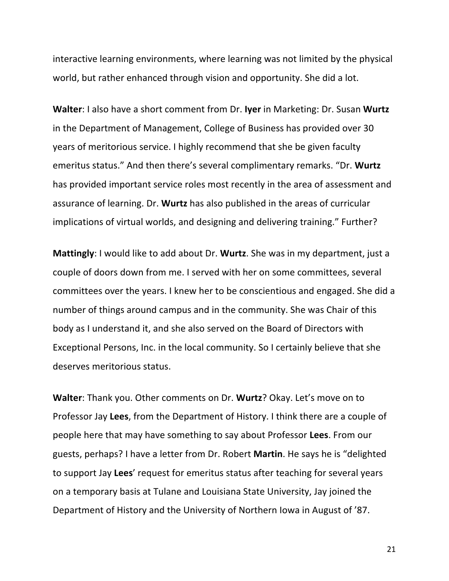interactive learning environments, where learning was not limited by the physical world, but rather enhanced through vision and opportunity. She did a lot.

**Walter:** I also have a short comment from Dr. Iyer in Marketing: Dr. Susan Wurtz in the Department of Management, College of Business has provided over 30 years of meritorious service. I highly recommend that she be given faculty emeritus status." And then there's several complimentary remarks. "Dr. Wurtz has provided important service roles most recently in the area of assessment and assurance of learning. Dr. Wurtz has also published in the areas of curricular implications of virtual worlds, and designing and delivering training." Further?

**Mattingly**: I would like to add about Dr. **Wurtz**. She was in my department, just a couple of doors down from me. I served with her on some committees, several committees over the years. I knew her to be conscientious and engaged. She did a number of things around campus and in the community. She was Chair of this body as I understand it, and she also served on the Board of Directors with Exceptional Persons, Inc. in the local community. So I certainly believe that she deserves meritorious status.

**Walter:** Thank you. Other comments on Dr. **Wurtz**? Okay. Let's move on to Professor Jay Lees, from the Department of History. I think there are a couple of people here that may have something to say about Professor Lees. From our guests, perhaps? I have a letter from Dr. Robert **Martin**. He says he is "delighted to support Jay Lees' request for emeritus status after teaching for several years on a temporary basis at Tulane and Louisiana State University, Jay joined the Department of History and the University of Northern Iowa in August of '87.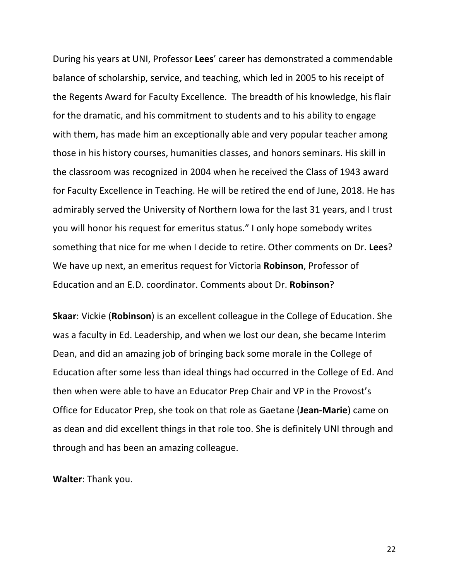During his years at UNI, Professor Lees' career has demonstrated a commendable balance of scholarship, service, and teaching, which led in 2005 to his receipt of the Regents Award for Faculty Excellence. The breadth of his knowledge, his flair for the dramatic, and his commitment to students and to his ability to engage with them, has made him an exceptionally able and very popular teacher among those in his history courses, humanities classes, and honors seminars. His skill in the classroom was recognized in 2004 when he received the Class of 1943 award for Faculty Excellence in Teaching. He will be retired the end of June, 2018. He has admirably served the University of Northern lowa for the last 31 years, and I trust you will honor his request for emeritus status." I only hope somebody writes something that nice for me when I decide to retire. Other comments on Dr. Lees? We have up next, an emeritus request for Victoria **Robinson**, Professor of Education and an E.D. coordinator. Comments about Dr. **Robinson**?

**Skaar:** Vickie (**Robinson**) is an excellent colleague in the College of Education. She was a faculty in Ed. Leadership, and when we lost our dean, she became Interim Dean, and did an amazing job of bringing back some morale in the College of Education after some less than ideal things had occurred in the College of Ed. And then when were able to have an Educator Prep Chair and VP in the Provost's Office for Educator Prep, she took on that role as Gaetane (**Jean-Marie**) came on as dean and did excellent things in that role too. She is definitely UNI through and through and has been an amazing colleague.

**Walter: Thank you.**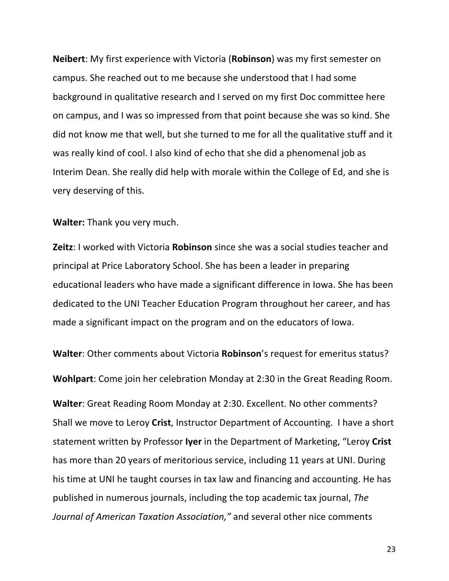**Neibert:** My first experience with Victoria (**Robinson**) was my first semester on campus. She reached out to me because she understood that I had some background in qualitative research and I served on my first Doc committee here on campus, and I was so impressed from that point because she was so kind. She did not know me that well, but she turned to me for all the qualitative stuff and it was really kind of cool. I also kind of echo that she did a phenomenal job as Interim Dean. She really did help with morale within the College of Ed, and she is very deserving of this.

**Walter:** Thank you very much.

**Zeitz**: I worked with Victoria **Robinson** since she was a social studies teacher and principal at Price Laboratory School. She has been a leader in preparing educational leaders who have made a significant difference in Iowa. She has been dedicated to the UNI Teacher Education Program throughout her career, and has made a significant impact on the program and on the educators of lowa.

**Walter:** Other comments about Victoria **Robinson**'s request for emeritus status?

**Wohlpart:** Come join her celebration Monday at 2:30 in the Great Reading Room.

**Walter:** Great Reading Room Monday at 2:30. Excellent. No other comments? Shall we move to Leroy Crist, Instructor Department of Accounting. I have a short statement written by Professor Iyer in the Department of Marketing, "Leroy Crist has more than 20 years of meritorious service, including 11 years at UNI. During his time at UNI he taught courses in tax law and financing and accounting. He has published in numerous journals, including the top academic tax journal, *The Journal of American Taxation Association,"* and several other nice comments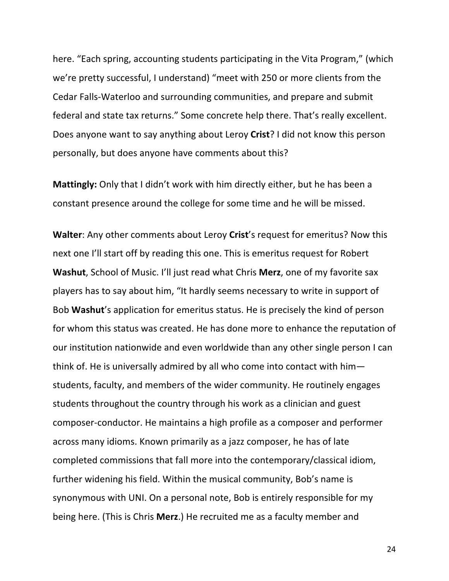here. "Each spring, accounting students participating in the Vita Program," (which we're pretty successful, I understand) "meet with 250 or more clients from the Cedar Falls-Waterloo and surrounding communities, and prepare and submit federal and state tax returns." Some concrete help there. That's really excellent. Does anyone want to say anything about Leroy Crist? I did not know this person personally, but does anyone have comments about this?

**Mattingly:** Only that I didn't work with him directly either, but he has been a constant presence around the college for some time and he will be missed.

**Walter:** Any other comments about Leroy Crist's request for emeritus? Now this next one I'll start off by reading this one. This is emeritus request for Robert **Washut**, School of Music. I'll just read what Chris Merz, one of my favorite sax players has to say about him, "It hardly seems necessary to write in support of Bob Washut's application for emeritus status. He is precisely the kind of person for whom this status was created. He has done more to enhance the reputation of our institution nationwide and even worldwide than any other single person I can think of. He is universally admired by all who come into contact with  $him$ students, faculty, and members of the wider community. He routinely engages students throughout the country through his work as a clinician and guest composer-conductor. He maintains a high profile as a composer and performer across many idioms. Known primarily as a jazz composer, he has of late completed commissions that fall more into the contemporary/classical idiom, further widening his field. Within the musical community, Bob's name is synonymous with UNI. On a personal note, Bob is entirely responsible for my being here. (This is Chris **Merz**.) He recruited me as a faculty member and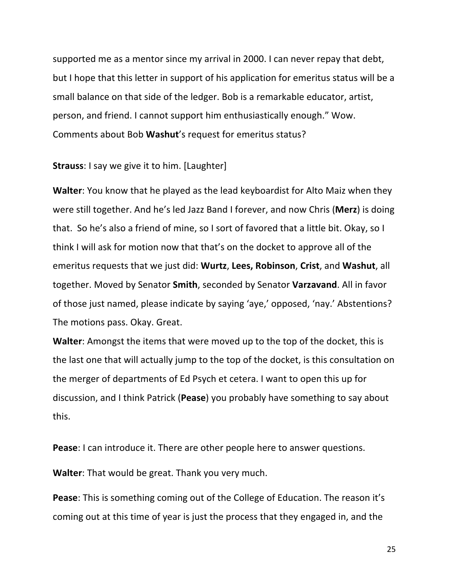supported me as a mentor since my arrival in 2000. I can never repay that debt, but I hope that this letter in support of his application for emeritus status will be a small balance on that side of the ledger. Bob is a remarkable educator, artist, person, and friend. I cannot support him enthusiastically enough." Wow. Comments about Bob Washut's request for emeritus status?

**Strauss**: I say we give it to him. [Laughter]

**Walter**: You know that he played as the lead keyboardist for Alto Maiz when they were still together. And he's led Jazz Band I forever, and now Chris (Merz) is doing that. So he's also a friend of mine, so I sort of favored that a little bit. Okay, so I think I will ask for motion now that that's on the docket to approve all of the emeritus requests that we just did: **Wurtz**, **Lees, Robinson**, **Crist**, and **Washut**, all together. Moved by Senator **Smith**, seconded by Senator **Varzavand**. All in favor of those just named, please indicate by saying 'aye,' opposed, 'nay.' Abstentions? The motions pass. Okay. Great.

**Walter:** Amongst the items that were moved up to the top of the docket, this is the last one that will actually jump to the top of the docket, is this consultation on the merger of departments of Ed Psych et cetera. I want to open this up for discussion, and I think Patrick (Pease) you probably have something to say about this.

**Pease:** I can introduce it. There are other people here to answer questions.

**Walter:** That would be great. Thank you very much.

**Pease:** This is something coming out of the College of Education. The reason it's coming out at this time of year is just the process that they engaged in, and the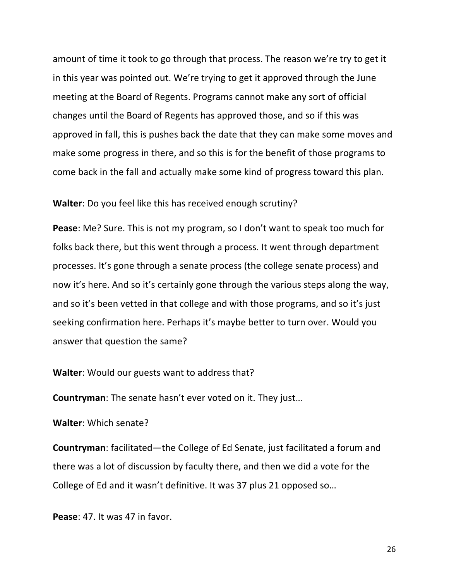amount of time it took to go through that process. The reason we're try to get it in this year was pointed out. We're trying to get it approved through the June meeting at the Board of Regents. Programs cannot make any sort of official changes until the Board of Regents has approved those, and so if this was approved in fall, this is pushes back the date that they can make some moves and make some progress in there, and so this is for the benefit of those programs to come back in the fall and actually make some kind of progress toward this plan.

#### **Walter:** Do you feel like this has received enough scrutiny?

**Pease**: Me? Sure. This is not my program, so I don't want to speak too much for folks back there, but this went through a process. It went through department processes. It's gone through a senate process (the college senate process) and now it's here. And so it's certainly gone through the various steps along the way, and so it's been vetted in that college and with those programs, and so it's just seeking confirmation here. Perhaps it's maybe better to turn over. Would you answer that question the same?

### **Walter:** Would our guests want to address that?

**Countryman:** The senate hasn't ever voted on it. They just...

### **Walter:** Which senate?

**Countryman**: facilitated—the College of Ed Senate, just facilitated a forum and there was a lot of discussion by faculty there, and then we did a vote for the College of Ed and it wasn't definitive. It was 37 plus 21 opposed so...

**Pease:** 47. It was 47 in favor.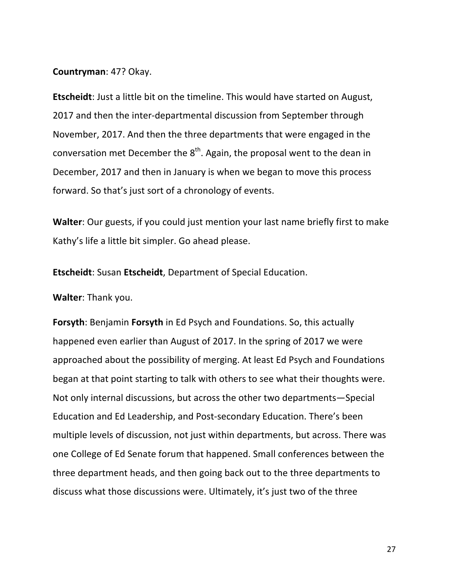### **Countryman**: 47? Okay.

**Etscheidt**: Just a little bit on the timeline. This would have started on August, 2017 and then the inter-departmental discussion from September through November, 2017. And then the three departments that were engaged in the conversation met December the  $8<sup>th</sup>$ . Again, the proposal went to the dean in December, 2017 and then in January is when we began to move this process forward. So that's just sort of a chronology of events.

**Walter:** Our guests, if you could just mention your last name briefly first to make Kathy's life a little bit simpler. Go ahead please.

**Etscheidt:** Susan Etscheidt, Department of Special Education.

**Walter: Thank you.** 

**Forsyth:** Benjamin **Forsyth** in Ed Psych and Foundations. So, this actually happened even earlier than August of 2017. In the spring of 2017 we were approached about the possibility of merging. At least Ed Psych and Foundations began at that point starting to talk with others to see what their thoughts were. Not only internal discussions, but across the other two departments—Special Education and Ed Leadership, and Post-secondary Education. There's been multiple levels of discussion, not just within departments, but across. There was one College of Ed Senate forum that happened. Small conferences between the three department heads, and then going back out to the three departments to discuss what those discussions were. Ultimately, it's just two of the three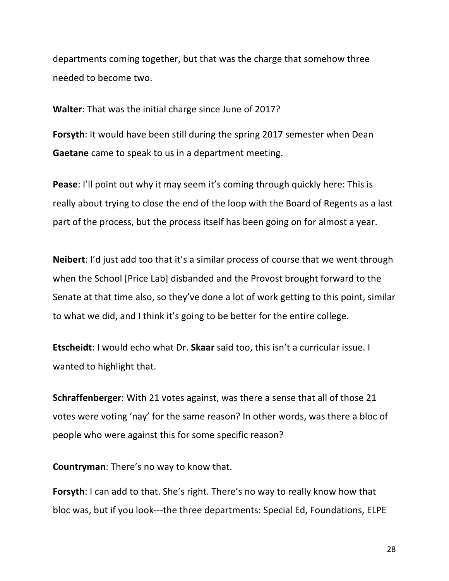departments coming together, but that was the charge that somehow three needed to become two.

**Walter:** That was the initial charge since June of 2017?

**Forsyth:** It would have been still during the spring 2017 semester when Dean **Gaetane** came to speak to us in a department meeting.

**Pease:** I'll point out why it may seem it's coming through quickly here: This is really about trying to close the end of the loop with the Board of Regents as a last part of the process, but the process itself has been going on for almost a year.

**Neibert**: I'd just add too that it's a similar process of course that we went through when the School [Price Lab] disbanded and the Provost brought forward to the Senate at that time also, so they've done a lot of work getting to this point, similar to what we did, and I think it's going to be better for the entire college.

**Etscheidt:** I would echo what Dr. **Skaar** said too, this isn't a curricular issue. I wanted to highlight that.

**Schraffenberger**: With 21 votes against, was there a sense that all of those 21 votes were voting 'nay' for the same reason? In other words, was there a bloc of people who were against this for some specific reason?

**Countryman:** There's no way to know that.

**Forsyth**: I can add to that. She's right. There's no way to really know how that bloc was, but if you look---the three departments: Special Ed, Foundations, ELPE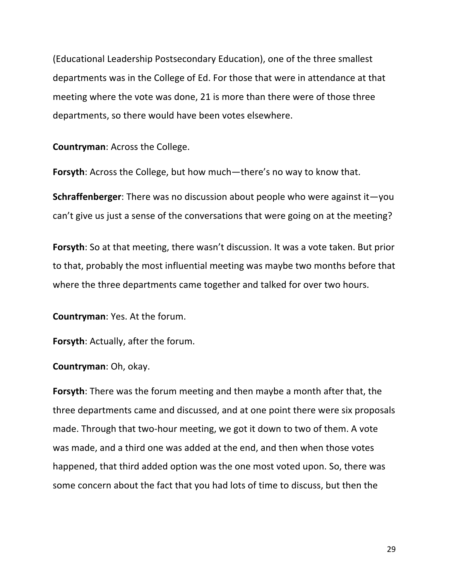(Educational Leadership Postsecondary Education), one of the three smallest departments was in the College of Ed. For those that were in attendance at that meeting where the vote was done, 21 is more than there were of those three departments, so there would have been votes elsewhere.

**Countryman: Across the College.** 

**Forsyth**: Across the College, but how much—there's no way to know that.

**Schraffenberger**: There was no discussion about people who were against it—you can't give us just a sense of the conversations that were going on at the meeting?

**Forsyth**: So at that meeting, there wasn't discussion. It was a vote taken. But prior to that, probably the most influential meeting was maybe two months before that where the three departments came together and talked for over two hours.

**Countryman:** Yes. At the forum.

**Forsyth:** Actually, after the forum.

**Countryman:** Oh, okay.

**Forsyth**: There was the forum meeting and then maybe a month after that, the three departments came and discussed, and at one point there were six proposals made. Through that two-hour meeting, we got it down to two of them. A vote was made, and a third one was added at the end, and then when those votes happened, that third added option was the one most voted upon. So, there was some concern about the fact that you had lots of time to discuss, but then the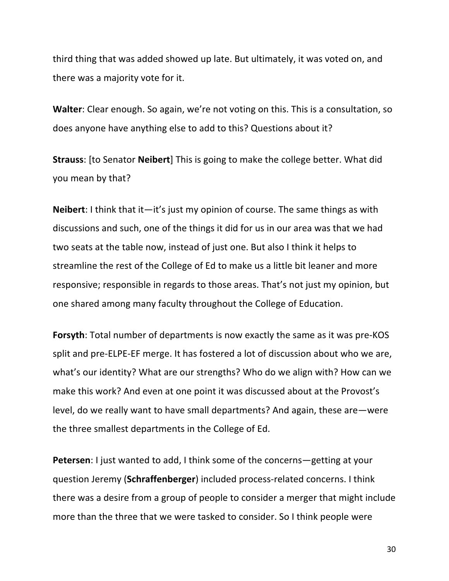third thing that was added showed up late. But ultimately, it was voted on, and there was a majority vote for it.

**Walter:** Clear enough. So again, we're not voting on this. This is a consultation, so does anyone have anything else to add to this? Questions about it?

**Strauss:** [to Senator **Neibert**] This is going to make the college better. What did you mean by that?

**Neibert**: I think that it—it's just my opinion of course. The same things as with discussions and such, one of the things it did for us in our area was that we had two seats at the table now, instead of just one. But also I think it helps to streamline the rest of the College of Ed to make us a little bit leaner and more responsive; responsible in regards to those areas. That's not just my opinion, but one shared among many faculty throughout the College of Education.

**Forsyth**: Total number of departments is now exactly the same as it was pre-KOS split and pre-ELPE-EF merge. It has fostered a lot of discussion about who we are, what's our identity? What are our strengths? Who do we align with? How can we make this work? And even at one point it was discussed about at the Provost's level, do we really want to have small departments? And again, these are—were the three smallest departments in the College of Ed.

**Petersen**: I just wanted to add, I think some of the concerns—getting at your question Jeremy (Schraffenberger) included process-related concerns. I think there was a desire from a group of people to consider a merger that might include more than the three that we were tasked to consider. So I think people were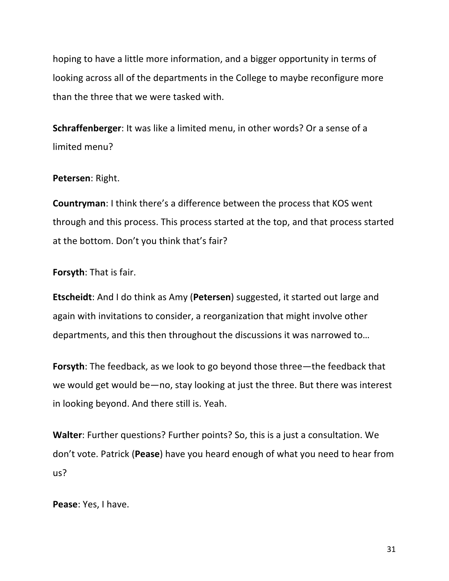hoping to have a little more information, and a bigger opportunity in terms of looking across all of the departments in the College to maybe reconfigure more than the three that we were tasked with.

**Schraffenberger**: It was like a limited menu, in other words? Or a sense of a limited menu?

### Petersen: Right.

**Countryman:** I think there's a difference between the process that KOS went through and this process. This process started at the top, and that process started at the bottom. Don't you think that's fair?

#### **Forsyth:** That is fair.

**Etscheidt:** And I do think as Amy (Petersen) suggested, it started out large and again with invitations to consider, a reorganization that might involve other departments, and this then throughout the discussions it was narrowed to...

**Forsyth**: The feedback, as we look to go beyond those three—the feedback that we would get would be—no, stay looking at just the three. But there was interest in looking beyond. And there still is. Yeah.

**Walter:** Further questions? Further points? So, this is a just a consultation. We don't vote. Patrick (Pease) have you heard enough of what you need to hear from us? 

Pease: Yes, I have.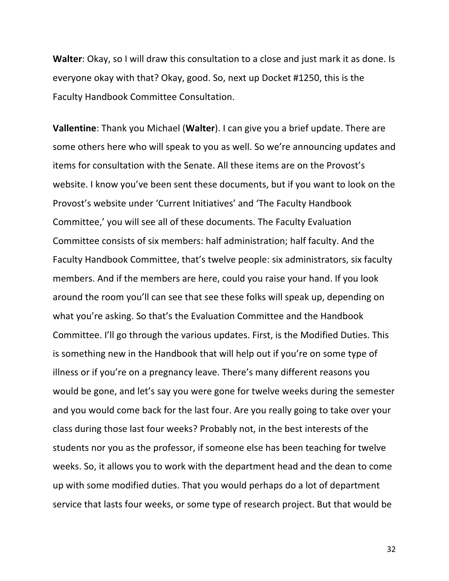**Walter**: Okay, so I will draw this consultation to a close and just mark it as done. Is everyone okay with that? Okay, good. So, next up Docket #1250, this is the Faculty Handbook Committee Consultation.

**Vallentine**: Thank you Michael (**Walter**). I can give you a brief update. There are some others here who will speak to you as well. So we're announcing updates and items for consultation with the Senate. All these items are on the Provost's website. I know you've been sent these documents, but if you want to look on the Provost's website under 'Current Initiatives' and 'The Faculty Handbook Committee,' you will see all of these documents. The Faculty Evaluation Committee consists of six members: half administration; half faculty. And the Faculty Handbook Committee, that's twelve people: six administrators, six faculty members. And if the members are here, could you raise your hand. If you look around the room you'll can see that see these folks will speak up, depending on what you're asking. So that's the Evaluation Committee and the Handbook Committee. I'll go through the various updates. First, is the Modified Duties. This is something new in the Handbook that will help out if you're on some type of illness or if you're on a pregnancy leave. There's many different reasons you would be gone, and let's say you were gone for twelve weeks during the semester and you would come back for the last four. Are you really going to take over your class during those last four weeks? Probably not, in the best interests of the students nor you as the professor, if someone else has been teaching for twelve weeks. So, it allows you to work with the department head and the dean to come up with some modified duties. That you would perhaps do a lot of department service that lasts four weeks, or some type of research project. But that would be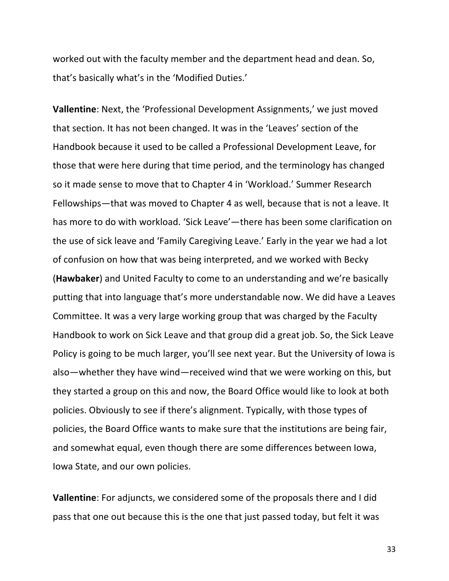worked out with the faculty member and the department head and dean. So, that's basically what's in the 'Modified Duties.'

**Vallentine**: Next, the 'Professional Development Assignments,' we just moved that section. It has not been changed. It was in the 'Leaves' section of the Handbook because it used to be called a Professional Development Leave, for those that were here during that time period, and the terminology has changed so it made sense to move that to Chapter 4 in 'Workload.' Summer Research Fellowships—that was moved to Chapter 4 as well, because that is not a leave. It has more to do with workload. 'Sick Leave'—there has been some clarification on the use of sick leave and 'Family Caregiving Leave.' Early in the year we had a lot of confusion on how that was being interpreted, and we worked with Becky (Hawbaker) and United Faculty to come to an understanding and we're basically putting that into language that's more understandable now. We did have a Leaves Committee. It was a very large working group that was charged by the Faculty Handbook to work on Sick Leave and that group did a great job. So, the Sick Leave Policy is going to be much larger, you'll see next year. But the University of lowa is also—whether they have wind—received wind that we were working on this, but they started a group on this and now, the Board Office would like to look at both policies. Obviously to see if there's alignment. Typically, with those types of policies, the Board Office wants to make sure that the institutions are being fair, and somewhat equal, even though there are some differences between lowa, Iowa State, and our own policies.

**Vallentine**: For adjuncts, we considered some of the proposals there and I did pass that one out because this is the one that just passed today, but felt it was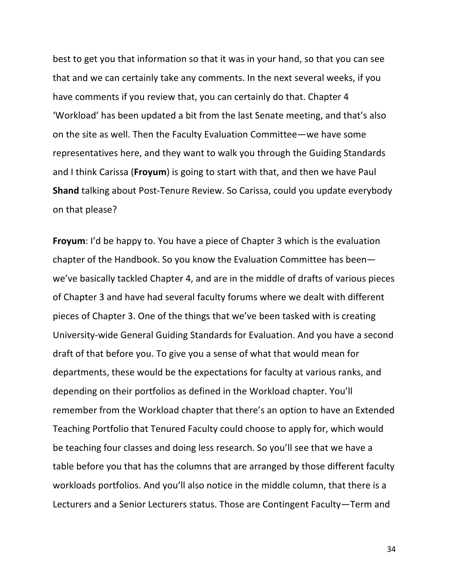best to get you that information so that it was in your hand, so that you can see that and we can certainly take any comments. In the next several weeks, if you have comments if you review that, you can certainly do that. Chapter 4 'Workload' has been updated a bit from the last Senate meeting, and that's also on the site as well. Then the Faculty Evaluation Committee—we have some representatives here, and they want to walk you through the Guiding Standards and I think Carissa (**Froyum**) is going to start with that, and then we have Paul **Shand** talking about Post-Tenure Review. So Carissa, could you update everybody on that please?

**Froyum**: I'd be happy to. You have a piece of Chapter 3 which is the evaluation chapter of the Handbook. So you know the Evaluation Committee has beenwe've basically tackled Chapter 4, and are in the middle of drafts of various pieces of Chapter 3 and have had several faculty forums where we dealt with different pieces of Chapter 3. One of the things that we've been tasked with is creating University-wide General Guiding Standards for Evaluation. And you have a second draft of that before you. To give you a sense of what that would mean for departments, these would be the expectations for faculty at various ranks, and depending on their portfolios as defined in the Workload chapter. You'll remember from the Workload chapter that there's an option to have an Extended Teaching Portfolio that Tenured Faculty could choose to apply for, which would be teaching four classes and doing less research. So you'll see that we have a table before you that has the columns that are arranged by those different faculty workloads portfolios. And you'll also notice in the middle column, that there is a Lecturers and a Senior Lecturers status. Those are Contingent Faculty—Term and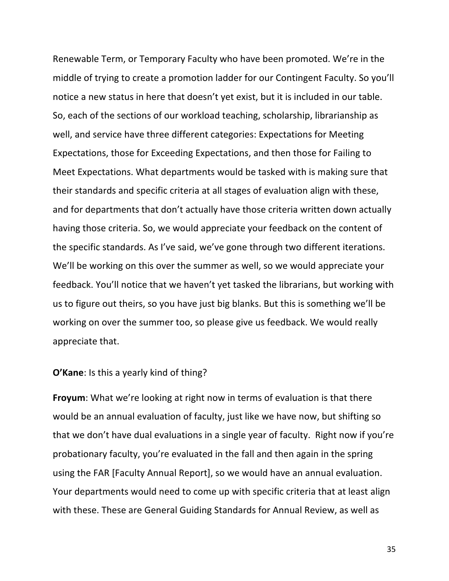Renewable Term, or Temporary Faculty who have been promoted. We're in the middle of trying to create a promotion ladder for our Contingent Faculty. So you'll notice a new status in here that doesn't yet exist, but it is included in our table. So, each of the sections of our workload teaching, scholarship, librarianship as well, and service have three different categories: Expectations for Meeting Expectations, those for Exceeding Expectations, and then those for Failing to Meet Expectations. What departments would be tasked with is making sure that their standards and specific criteria at all stages of evaluation align with these, and for departments that don't actually have those criteria written down actually having those criteria. So, we would appreciate your feedback on the content of the specific standards. As I've said, we've gone through two different iterations. We'll be working on this over the summer as well, so we would appreciate your feedback. You'll notice that we haven't yet tasked the librarians, but working with us to figure out theirs, so you have just big blanks. But this is something we'll be working on over the summer too, so please give us feedback. We would really appreciate that.

### **O'Kane:** Is this a yearly kind of thing?

**Froyum**: What we're looking at right now in terms of evaluation is that there would be an annual evaluation of faculty, just like we have now, but shifting so that we don't have dual evaluations in a single year of faculty. Right now if you're probationary faculty, you're evaluated in the fall and then again in the spring using the FAR [Faculty Annual Report], so we would have an annual evaluation. Your departments would need to come up with specific criteria that at least align with these. These are General Guiding Standards for Annual Review, as well as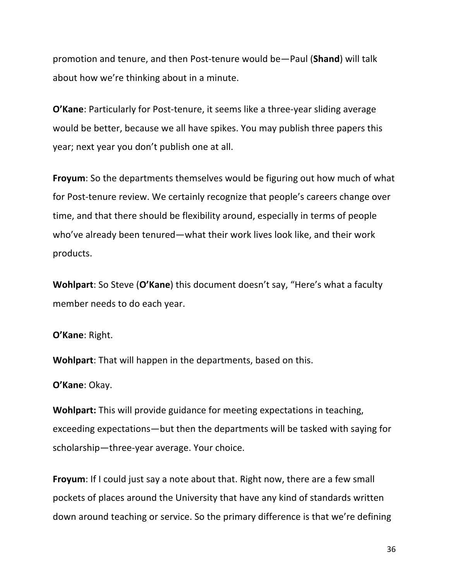promotion and tenure, and then Post-tenure would be—Paul (**Shand**) will talk about how we're thinking about in a minute.

**O'Kane**: Particularly for Post-tenure, it seems like a three-year sliding average would be better, because we all have spikes. You may publish three papers this year; next year you don't publish one at all.

**Froyum**: So the departments themselves would be figuring out how much of what for Post-tenure review. We certainly recognize that people's careers change over time, and that there should be flexibility around, especially in terms of people who've already been tenured—what their work lives look like, and their work products.

**Wohlpart**: So Steve (O'Kane) this document doesn't say, "Here's what a faculty member needs to do each year.

**O'Kane: Right.** 

**Wohlpart:** That will happen in the departments, based on this.

**O'Kane**: Okay.

**Wohlpart:** This will provide guidance for meeting expectations in teaching, exceeding expectations—but then the departments will be tasked with saying for scholarship—three-year average. Your choice.

**Froyum**: If I could just say a note about that. Right now, there are a few small pockets of places around the University that have any kind of standards written down around teaching or service. So the primary difference is that we're defining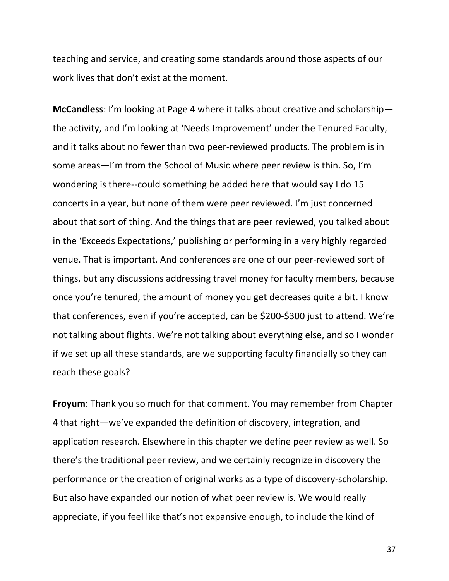teaching and service, and creating some standards around those aspects of our work lives that don't exist at the moment.

**McCandless:** I'm looking at Page 4 where it talks about creative and scholarship the activity, and I'm looking at 'Needs Improvement' under the Tenured Faculty, and it talks about no fewer than two peer-reviewed products. The problem is in some areas—I'm from the School of Music where peer review is thin. So, I'm wondering is there--could something be added here that would say I do 15 concerts in a year, but none of them were peer reviewed. I'm just concerned about that sort of thing. And the things that are peer reviewed, you talked about in the 'Exceeds Expectations,' publishing or performing in a very highly regarded venue. That is important. And conferences are one of our peer-reviewed sort of things, but any discussions addressing travel money for faculty members, because once you're tenured, the amount of money you get decreases quite a bit. I know that conferences, even if you're accepted, can be \$200-\$300 just to attend. We're not talking about flights. We're not talking about everything else, and so I wonder if we set up all these standards, are we supporting faculty financially so they can reach these goals?

**Froyum:** Thank you so much for that comment. You may remember from Chapter 4 that right—we've expanded the definition of discovery, integration, and application research. Elsewhere in this chapter we define peer review as well. So there's the traditional peer review, and we certainly recognize in discovery the performance or the creation of original works as a type of discovery-scholarship. But also have expanded our notion of what peer review is. We would really appreciate, if you feel like that's not expansive enough, to include the kind of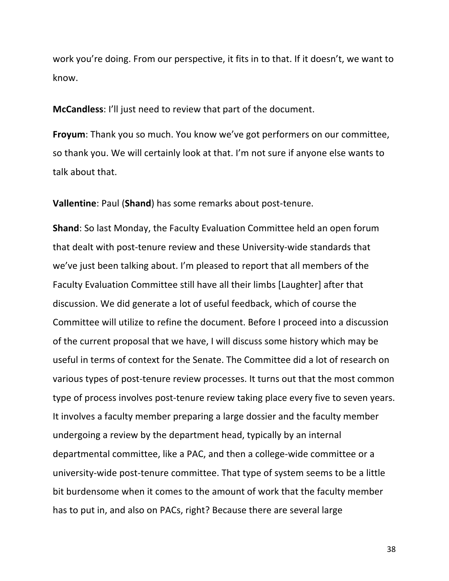work you're doing. From our perspective, it fits in to that. If it doesn't, we want to know. 

**McCandless:** I'll just need to review that part of the document.

**Froyum**: Thank you so much. You know we've got performers on our committee, so thank you. We will certainly look at that. I'm not sure if anyone else wants to talk about that.

**Vallentine**: Paul (Shand) has some remarks about post-tenure.

**Shand**: So last Monday, the Faculty Evaluation Committee held an open forum that dealt with post-tenure review and these University-wide standards that we've just been talking about. I'm pleased to report that all members of the Faculty Evaluation Committee still have all their limbs [Laughter] after that discussion. We did generate a lot of useful feedback, which of course the Committee will utilize to refine the document. Before I proceed into a discussion of the current proposal that we have, I will discuss some history which may be useful in terms of context for the Senate. The Committee did a lot of research on various types of post-tenure review processes. It turns out that the most common type of process involves post-tenure review taking place every five to seven years. It involves a faculty member preparing a large dossier and the faculty member undergoing a review by the department head, typically by an internal departmental committee, like a PAC, and then a college-wide committee or a university-wide post-tenure committee. That type of system seems to be a little bit burdensome when it comes to the amount of work that the faculty member has to put in, and also on PACs, right? Because there are several large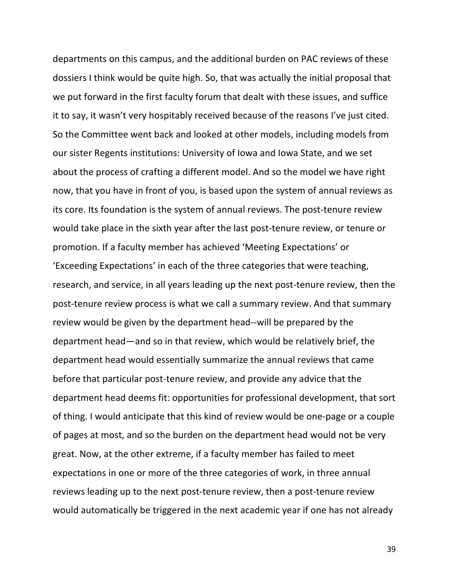departments on this campus, and the additional burden on PAC reviews of these dossiers I think would be quite high. So, that was actually the initial proposal that we put forward in the first faculty forum that dealt with these issues, and suffice it to say, it wasn't very hospitably received because of the reasons I've just cited. So the Committee went back and looked at other models, including models from our sister Regents institutions: University of lowa and lowa State, and we set about the process of crafting a different model. And so the model we have right now, that you have in front of you, is based upon the system of annual reviews as its core. Its foundation is the system of annual reviews. The post-tenure review would take place in the sixth year after the last post-tenure review, or tenure or promotion. If a faculty member has achieved 'Meeting Expectations' or 'Exceeding Expectations' in each of the three categories that were teaching, research, and service, in all years leading up the next post-tenure review, then the post-tenure review process is what we call a summary review. And that summary review would be given by the department head--will be prepared by the department head—and so in that review, which would be relatively brief, the department head would essentially summarize the annual reviews that came before that particular post-tenure review, and provide any advice that the department head deems fit: opportunities for professional development, that sort of thing. I would anticipate that this kind of review would be one-page or a couple of pages at most, and so the burden on the department head would not be very great. Now, at the other extreme, if a faculty member has failed to meet expectations in one or more of the three categories of work, in three annual reviews leading up to the next post-tenure review, then a post-tenure review would automatically be triggered in the next academic year if one has not already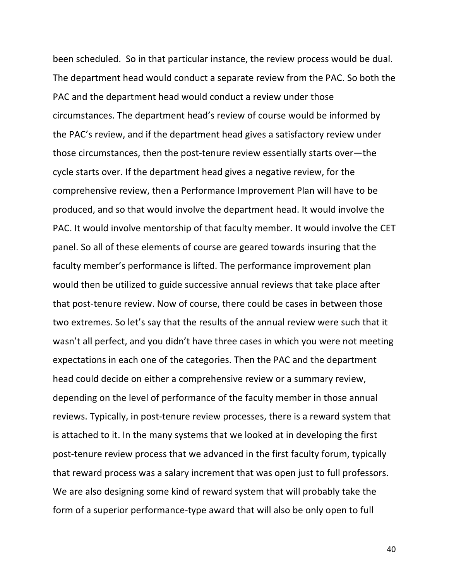been scheduled. So in that particular instance, the review process would be dual. The department head would conduct a separate review from the PAC. So both the PAC and the department head would conduct a review under those circumstances. The department head's review of course would be informed by the PAC's review, and if the department head gives a satisfactory review under those circumstances, then the post-tenure review essentially starts over-the cycle starts over. If the department head gives a negative review, for the comprehensive review, then a Performance Improvement Plan will have to be produced, and so that would involve the department head. It would involve the PAC. It would involve mentorship of that faculty member. It would involve the CET panel. So all of these elements of course are geared towards insuring that the faculty member's performance is lifted. The performance improvement plan would then be utilized to guide successive annual reviews that take place after that post-tenure review. Now of course, there could be cases in between those two extremes. So let's say that the results of the annual review were such that it wasn't all perfect, and you didn't have three cases in which you were not meeting expectations in each one of the categories. Then the PAC and the department head could decide on either a comprehensive review or a summary review, depending on the level of performance of the faculty member in those annual reviews. Typically, in post-tenure review processes, there is a reward system that is attached to it. In the many systems that we looked at in developing the first post-tenure review process that we advanced in the first faculty forum, typically that reward process was a salary increment that was open just to full professors. We are also designing some kind of reward system that will probably take the form of a superior performance-type award that will also be only open to full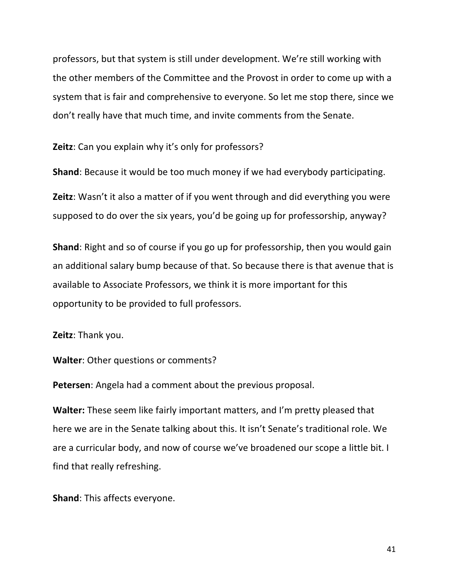professors, but that system is still under development. We're still working with the other members of the Committee and the Provost in order to come up with a system that is fair and comprehensive to everyone. So let me stop there, since we don't really have that much time, and invite comments from the Senate.

**Zeitz**: Can you explain why it's only for professors?

**Shand**: Because it would be too much money if we had everybody participating.

**Zeitz**: Wasn't it also a matter of if you went through and did everything you were supposed to do over the six years, you'd be going up for professorship, anyway?

**Shand**: Right and so of course if you go up for professorship, then you would gain an additional salary bump because of that. So because there is that avenue that is available to Associate Professors, we think it is more important for this opportunity to be provided to full professors.

**Zeitz: Thank you.** 

**Walter:** Other questions or comments?

**Petersen:** Angela had a comment about the previous proposal.

**Walter:** These seem like fairly important matters, and I'm pretty pleased that here we are in the Senate talking about this. It isn't Senate's traditional role. We are a curricular body, and now of course we've broadened our scope a little bit. I find that really refreshing.

**Shand:** This affects everyone.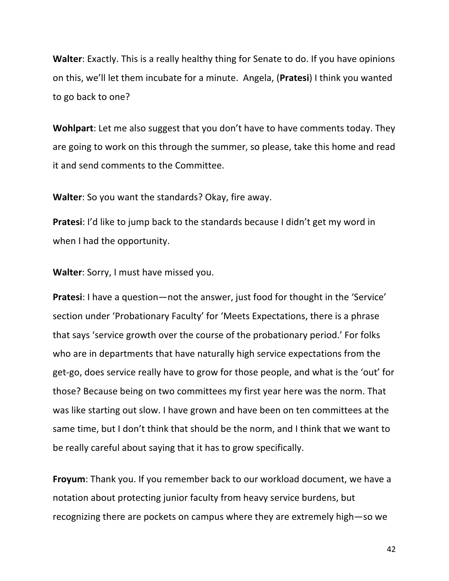**Walter:** Exactly. This is a really healthy thing for Senate to do. If you have opinions on this, we'll let them incubate for a minute. Angela, (**Pratesi**) I think you wanted to go back to one?

**Wohlpart**: Let me also suggest that you don't have to have comments today. They are going to work on this through the summer, so please, take this home and read it and send comments to the Committee.

**Walter:** So you want the standards? Okay, fire away.

**Pratesi:** I'd like to jump back to the standards because I didn't get my word in when I had the opportunity.

**Walter**: Sorry, I must have missed you.

**Pratesi**: I have a question—not the answer, just food for thought in the 'Service' section under 'Probationary Faculty' for 'Meets Expectations, there is a phrase that says 'service growth over the course of the probationary period.' For folks who are in departments that have naturally high service expectations from the get-go, does service really have to grow for those people, and what is the 'out' for those? Because being on two committees my first year here was the norm. That was like starting out slow. I have grown and have been on ten committees at the same time, but I don't think that should be the norm, and I think that we want to be really careful about saying that it has to grow specifically.

**Froyum**: Thank you. If you remember back to our workload document, we have a notation about protecting junior faculty from heavy service burdens, but recognizing there are pockets on campus where they are extremely high-so we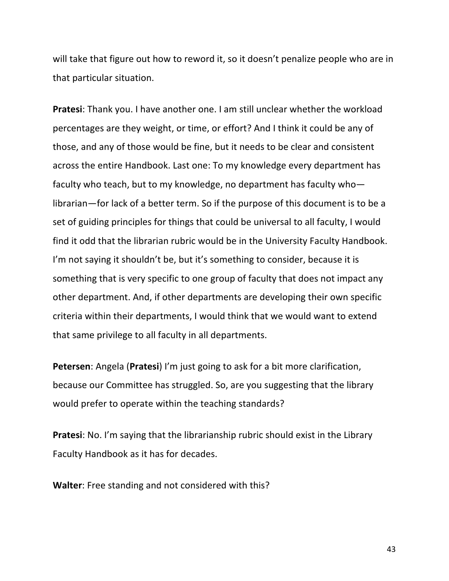will take that figure out how to reword it, so it doesn't penalize people who are in that particular situation.

**Pratesi:** Thank you. I have another one. I am still unclear whether the workload percentages are they weight, or time, or effort? And I think it could be any of those, and any of those would be fine, but it needs to be clear and consistent across the entire Handbook. Last one: To my knowledge every department has faculty who teach, but to my knowledge, no department has faculty wholibrarian—for lack of a better term. So if the purpose of this document is to be a set of guiding principles for things that could be universal to all faculty, I would find it odd that the librarian rubric would be in the University Faculty Handbook. I'm not saying it shouldn't be, but it's something to consider, because it is something that is very specific to one group of faculty that does not impact any other department. And, if other departments are developing their own specific criteria within their departments, I would think that we would want to extend that same privilege to all faculty in all departments.

**Petersen**: Angela (**Pratesi**) I'm just going to ask for a bit more clarification, because our Committee has struggled. So, are you suggesting that the library would prefer to operate within the teaching standards?

**Pratesi:** No. I'm saying that the librarianship rubric should exist in the Library Faculty Handbook as it has for decades.

**Walter:** Free standing and not considered with this?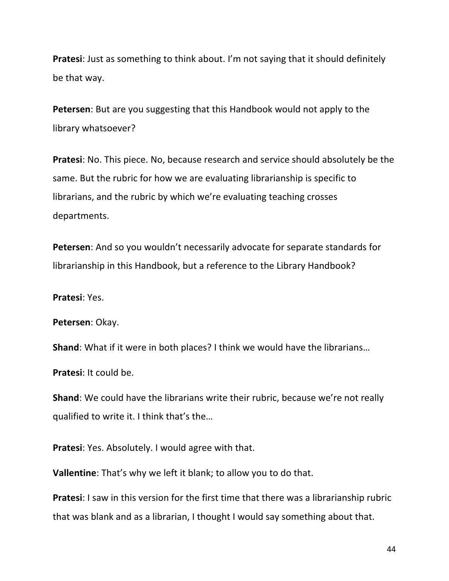**Pratesi:** Just as something to think about. I'm not saying that it should definitely be that way.

**Petersen:** But are you suggesting that this Handbook would not apply to the library whatsoever?

**Pratesi**: No. This piece. No, because research and service should absolutely be the same. But the rubric for how we are evaluating librarianship is specific to librarians, and the rubric by which we're evaluating teaching crosses departments.

**Petersen:** And so you wouldn't necessarily advocate for separate standards for librarianship in this Handbook, but a reference to the Library Handbook?

**Pratesi:** Yes.

Petersen: Okay.

**Shand:** What if it were in both places? I think we would have the librarians...

**Pratesi:** It could be.

**Shand**: We could have the librarians write their rubric, because we're not really qualified to write it. I think that's the...

**Pratesi**: Yes. Absolutely. I would agree with that.

**Vallentine**: That's why we left it blank; to allow you to do that.

**Pratesi:** I saw in this version for the first time that there was a librarianship rubric that was blank and as a librarian, I thought I would say something about that.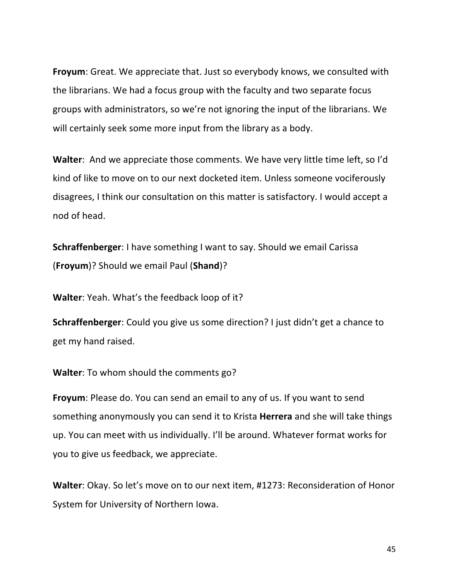**Froyum:** Great. We appreciate that. Just so everybody knows, we consulted with the librarians. We had a focus group with the faculty and two separate focus groups with administrators, so we're not ignoring the input of the librarians. We will certainly seek some more input from the library as a body.

**Walter:** And we appreciate those comments. We have very little time left, so I'd kind of like to move on to our next docketed item. Unless someone vociferously disagrees, I think our consultation on this matter is satisfactory. I would accept a nod of head.

**Schraffenberger**: I have something I want to say. Should we email Carissa (**Froyum**)? Should we email Paul (**Shand**)? 

**Walter:** Yeah. What's the feedback loop of it?

**Schraffenberger**: Could you give us some direction? I just didn't get a chance to get my hand raised.

**Walter:** To whom should the comments go?

**Froyum**: Please do. You can send an email to any of us. If you want to send something anonymously you can send it to Krista **Herrera** and she will take things up. You can meet with us individually. I'll be around. Whatever format works for you to give us feedback, we appreciate.

**Walter:** Okay. So let's move on to our next item, #1273: Reconsideration of Honor System for University of Northern Iowa.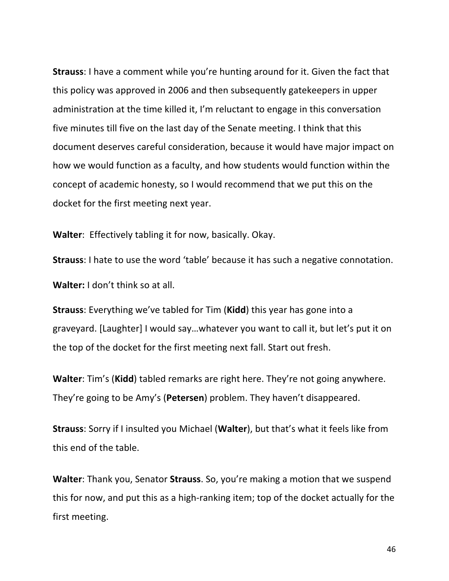**Strauss**: I have a comment while you're hunting around for it. Given the fact that this policy was approved in 2006 and then subsequently gatekeepers in upper administration at the time killed it, I'm reluctant to engage in this conversation five minutes till five on the last day of the Senate meeting. I think that this document deserves careful consideration, because it would have major impact on how we would function as a faculty, and how students would function within the concept of academic honesty, so I would recommend that we put this on the docket for the first meeting next year.

**Walter:** Effectively tabling it for now, basically. Okay.

**Strauss**: I hate to use the word 'table' because it has such a negative connotation. **Walter:** I don't think so at all.

**Strauss:** Everything we've tabled for Tim (Kidd) this year has gone into a graveyard. [Laughter] I would say...whatever you want to call it, but let's put it on the top of the docket for the first meeting next fall. Start out fresh.

**Walter:** Tim's (Kidd) tabled remarks are right here. They're not going anywhere. They're going to be Amy's (Petersen) problem. They haven't disappeared.

**Strauss:** Sorry if I insulted you Michael (Walter), but that's what it feels like from this end of the table.

**Walter:** Thank you, Senator **Strauss**. So, you're making a motion that we suspend this for now, and put this as a high-ranking item; top of the docket actually for the first meeting.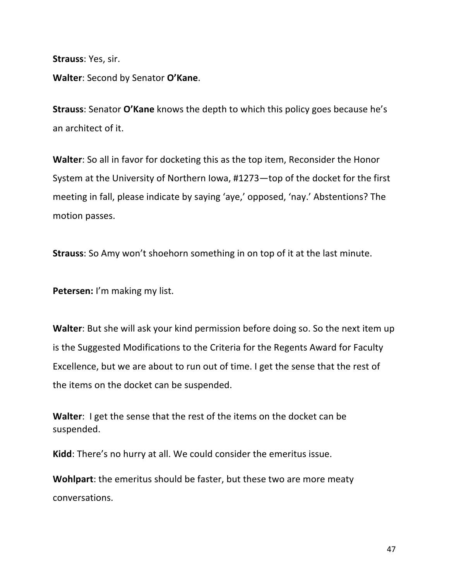**Strauss: Yes, sir.** 

**Walter:** Second by Senator O'Kane.

**Strauss:** Senator **O'Kane** knows the depth to which this policy goes because he's an architect of it.

**Walter**: So all in favor for docketing this as the top item, Reconsider the Honor System at the University of Northern Iowa, #1273—top of the docket for the first meeting in fall, please indicate by saying 'aye,' opposed, 'nay.' Abstentions? The motion passes.

**Strauss:** So Amy won't shoehorn something in on top of it at the last minute.

**Petersen:** I'm making my list.

**Walter:** But she will ask your kind permission before doing so. So the next item up is the Suggested Modifications to the Criteria for the Regents Award for Faculty Excellence, but we are about to run out of time. I get the sense that the rest of the items on the docket can be suspended.

**Walter:** I get the sense that the rest of the items on the docket can be suspended.

**Kidd**: There's no hurry at all. We could consider the emeritus issue.

**Wohlpart**: the emeritus should be faster, but these two are more meaty conversations.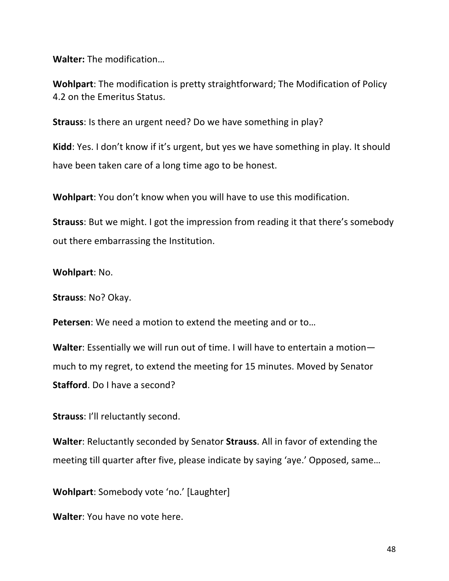**Walter:** The modification...

**Wohlpart:** The modification is pretty straightforward; The Modification of Policy 4.2 on the Emeritus Status.

**Strauss:** Is there an urgent need? Do we have something in play?

**Kidd**: Yes. I don't know if it's urgent, but yes we have something in play. It should have been taken care of a long time ago to be honest.

**Wohlpart:** You don't know when you will have to use this modification.

**Strauss:** But we might. I got the impression from reading it that there's somebody out there embarrassing the Institution.

### **Wohlpart:** No.

**Strauss**: No? Okay.

**Petersen**: We need a motion to extend the meeting and or to...

**Walter:** Essentially we will run out of time. I will have to entertain a motionmuch to my regret, to extend the meeting for 15 minutes. Moved by Senator **Stafford**. Do I have a second?

**Strauss:** I'll reluctantly second.

**Walter:** Reluctantly seconded by Senator **Strauss**. All in favor of extending the meeting till quarter after five, please indicate by saying 'aye.' Opposed, same...

**Wohlpart:** Somebody vote 'no.' [Laughter]

**Walter:** You have no vote here.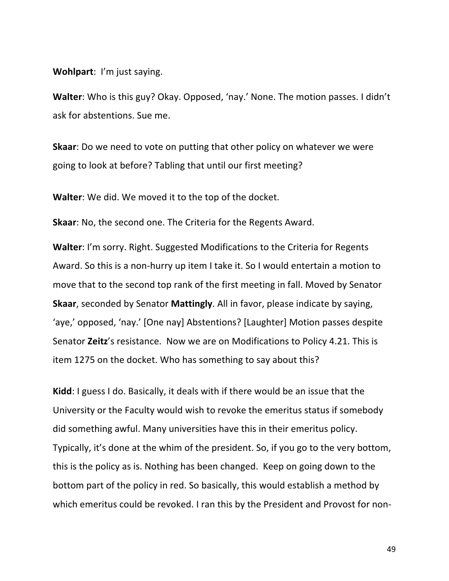**Wohlpart:** I'm just saying.

**Walter:** Who is this guy? Okay. Opposed, 'nay.' None. The motion passes. I didn't ask for abstentions. Sue me.

**Skaar:** Do we need to vote on putting that other policy on whatever we were going to look at before? Tabling that until our first meeting?

**Walter:** We did. We moved it to the top of the docket.

**Skaar:** No, the second one. The Criteria for the Regents Award.

**Walter:** I'm sorry. Right. Suggested Modifications to the Criteria for Regents Award. So this is a non-hurry up item I take it. So I would entertain a motion to move that to the second top rank of the first meeting in fall. Moved by Senator **Skaar**, seconded by Senator **Mattingly**. All in favor, please indicate by saying, 'aye,' opposed, 'nay.' [One nay] Abstentions? [Laughter] Motion passes despite Senator Zeitz's resistance. Now we are on Modifications to Policy 4.21. This is item 1275 on the docket. Who has something to say about this?

**Kidd**: I guess I do. Basically, it deals with if there would be an issue that the University or the Faculty would wish to revoke the emeritus status if somebody did something awful. Many universities have this in their emeritus policy. Typically, it's done at the whim of the president. So, if you go to the very bottom, this is the policy as is. Nothing has been changed. Keep on going down to the bottom part of the policy in red. So basically, this would establish a method by which emeritus could be revoked. I ran this by the President and Provost for non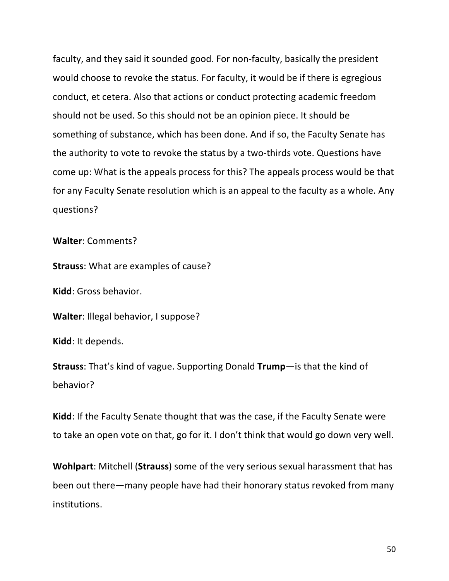faculty, and they said it sounded good. For non-faculty, basically the president would choose to revoke the status. For faculty, it would be if there is egregious conduct, et cetera. Also that actions or conduct protecting academic freedom should not be used. So this should not be an opinion piece. It should be something of substance, which has been done. And if so, the Faculty Senate has the authority to vote to revoke the status by a two-thirds vote. Questions have come up: What is the appeals process for this? The appeals process would be that for any Faculty Senate resolution which is an appeal to the faculty as a whole. Any questions?

**Walter: Comments?** 

**Strauss:** What are examples of cause?

**Kidd**: Gross behavior.

**Walter:** Illegal behavior, I suppose?

**Kidd**: It depends.

**Strauss:** That's kind of vague. Supporting Donald **Trump**—is that the kind of behavior?

**Kidd**: If the Faculty Senate thought that was the case, if the Faculty Senate were to take an open vote on that, go for it. I don't think that would go down very well.

**Wohlpart:** Mitchell (Strauss) some of the very serious sexual harassment that has been out there—many people have had their honorary status revoked from many institutions.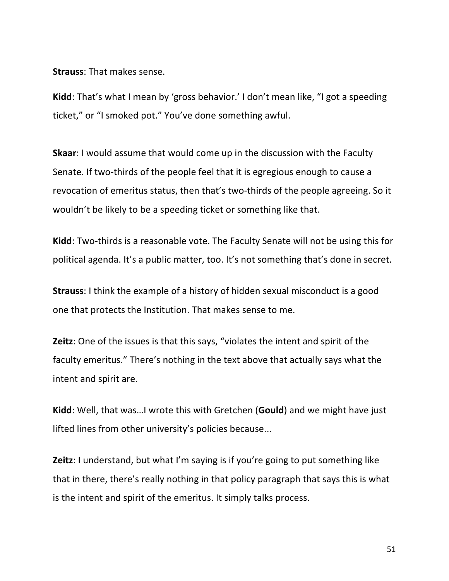**Strauss: That makes sense.** 

**Kidd**: That's what I mean by 'gross behavior.' I don't mean like, "I got a speeding ticket," or "I smoked pot." You've done something awful.

**Skaar:** I would assume that would come up in the discussion with the Faculty Senate. If two-thirds of the people feel that it is egregious enough to cause a revocation of emeritus status, then that's two-thirds of the people agreeing. So it wouldn't be likely to be a speeding ticket or something like that.

**Kidd**: Two-thirds is a reasonable vote. The Faculty Senate will not be using this for political agenda. It's a public matter, too. It's not something that's done in secret.

**Strauss:** I think the example of a history of hidden sexual misconduct is a good one that protects the Institution. That makes sense to me.

**Zeitz**: One of the issues is that this says, "violates the intent and spirit of the faculty emeritus." There's nothing in the text above that actually says what the intent and spirit are.

**Kidd**: Well, that was...I wrote this with Gretchen (**Gould**) and we might have just lifted lines from other university's policies because...

**Zeitz**: I understand, but what I'm saying is if you're going to put something like that in there, there's really nothing in that policy paragraph that says this is what is the intent and spirit of the emeritus. It simply talks process.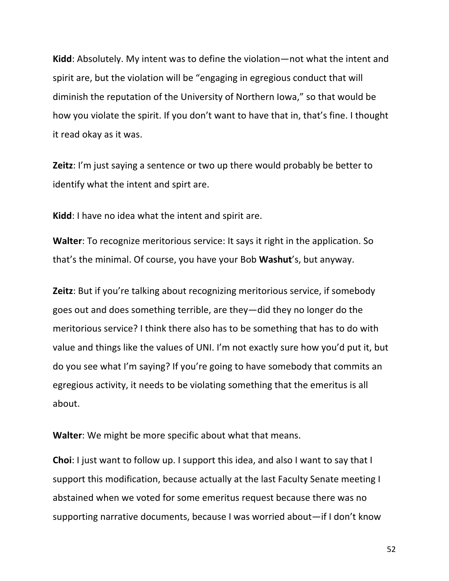**Kidd**: Absolutely. My intent was to define the violation—not what the intent and spirit are, but the violation will be "engaging in egregious conduct that will diminish the reputation of the University of Northern Iowa," so that would be how you violate the spirit. If you don't want to have that in, that's fine. I thought it read okay as it was.

**Zeitz**: I'm just saying a sentence or two up there would probably be better to identify what the intent and spirt are.

**Kidd**: I have no idea what the intent and spirit are.

**Walter**: To recognize meritorious service: It says it right in the application. So that's the minimal. Of course, you have your Bob **Washut**'s, but anyway.

**Zeitz**: But if you're talking about recognizing meritorious service, if somebody goes out and does something terrible, are they—did they no longer do the meritorious service? I think there also has to be something that has to do with value and things like the values of UNI. I'm not exactly sure how you'd put it, but do you see what I'm saying? If you're going to have somebody that commits an egregious activity, it needs to be violating something that the emeritus is all about.

**Walter:** We might be more specific about what that means.

**Choi**: I just want to follow up. I support this idea, and also I want to say that I support this modification, because actually at the last Faculty Senate meeting I abstained when we voted for some emeritus request because there was no supporting narrative documents, because I was worried about—if I don't know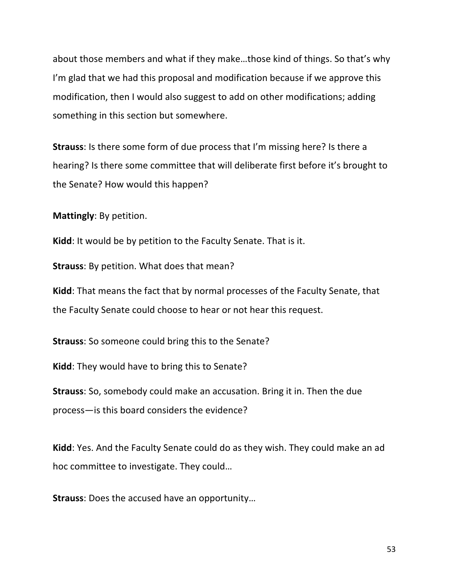about those members and what if they make...those kind of things. So that's why I'm glad that we had this proposal and modification because if we approve this modification, then I would also suggest to add on other modifications; adding something in this section but somewhere.

**Strauss:** Is there some form of due process that I'm missing here? Is there a hearing? Is there some committee that will deliberate first before it's brought to the Senate? How would this happen?

**Mattingly**: By petition.

**Kidd**: It would be by petition to the Faculty Senate. That is it.

**Strauss:** By petition. What does that mean?

**Kidd**: That means the fact that by normal processes of the Faculty Senate, that the Faculty Senate could choose to hear or not hear this request.

**Strauss:** So someone could bring this to the Senate?

**Kidd**: They would have to bring this to Senate?

**Strauss:** So, somebody could make an accusation. Bring it in. Then the due process—is this board considers the evidence?

**Kidd**: Yes. And the Faculty Senate could do as they wish. They could make an ad hoc committee to investigate. They could...

**Strauss:** Does the accused have an opportunity...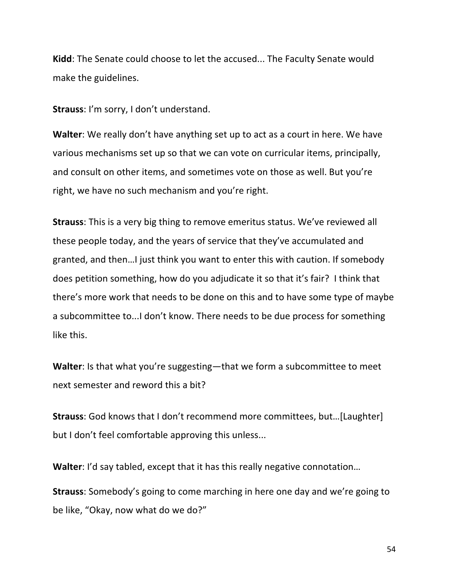**Kidd:** The Senate could choose to let the accused... The Faculty Senate would make the guidelines.

**Strauss**: I'm sorry, I don't understand.

**Walter**: We really don't have anything set up to act as a court in here. We have various mechanisms set up so that we can vote on curricular items, principally, and consult on other items, and sometimes vote on those as well. But you're right, we have no such mechanism and you're right.

**Strauss:** This is a very big thing to remove emeritus status. We've reviewed all these people today, and the years of service that they've accumulated and granted, and then...I just think you want to enter this with caution. If somebody does petition something, how do you adjudicate it so that it's fair? I think that there's more work that needs to be done on this and to have some type of maybe a subcommittee to...I don't know. There needs to be due process for something like this.

**Walter**: Is that what you're suggesting—that we form a subcommittee to meet next semester and reword this a bit?

**Strauss:** God knows that I don't recommend more committees, but...[Laughter] but I don't feel comfortable approving this unless...

**Walter**: I'd say tabled, except that it has this really negative connotation...

**Strauss:** Somebody's going to come marching in here one day and we're going to be like, "Okay, now what do we do?"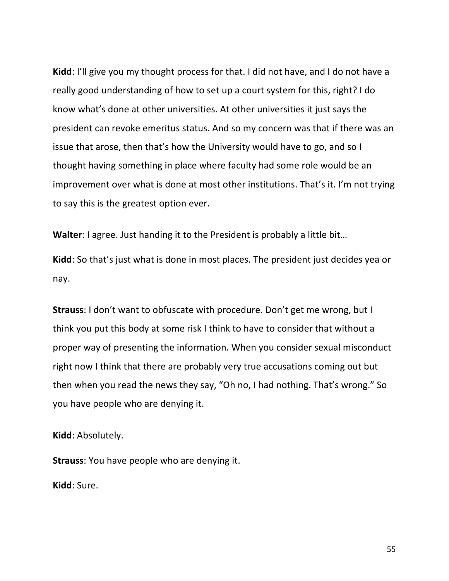**Kidd**: I'll give you my thought process for that. I did not have, and I do not have a really good understanding of how to set up a court system for this, right? I do know what's done at other universities. At other universities it just says the president can revoke emeritus status. And so my concern was that if there was an issue that arose, then that's how the University would have to go, and so I thought having something in place where faculty had some role would be an improvement over what is done at most other institutions. That's it. I'm not trying to say this is the greatest option ever.

**Walter:** I agree. Just handing it to the President is probably a little bit...

**Kidd**: So that's just what is done in most places. The president just decides yea or nay.

**Strauss**: I don't want to obfuscate with procedure. Don't get me wrong, but I think you put this body at some risk I think to have to consider that without a proper way of presenting the information. When you consider sexual misconduct right now I think that there are probably very true accusations coming out but then when you read the news they say, "Oh no, I had nothing. That's wrong." So you have people who are denying it.

**Kidd**: Absolutely.

**Strauss:** You have people who are denying it.

**Kidd**: Sure.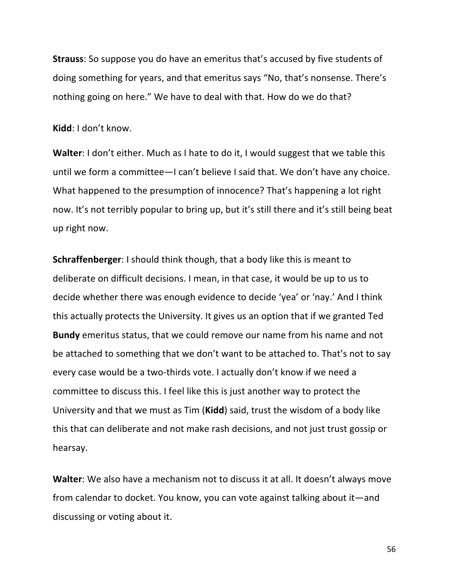**Strauss:** So suppose you do have an emeritus that's accused by five students of doing something for years, and that emeritus says "No, that's nonsense. There's nothing going on here." We have to deal with that. How do we do that?

**Kidd**: I don't know.

**Walter:** I don't either. Much as I hate to do it, I would suggest that we table this until we form a committee—I can't believe I said that. We don't have any choice. What happened to the presumption of innocence? That's happening a lot right now. It's not terribly popular to bring up, but it's still there and it's still being beat up right now.

**Schraffenberger**: I should think though, that a body like this is meant to deliberate on difficult decisions. I mean, in that case, it would be up to us to decide whether there was enough evidence to decide 'yea' or 'nay.' And I think this actually protects the University. It gives us an option that if we granted Ted **Bundy** emeritus status, that we could remove our name from his name and not be attached to something that we don't want to be attached to. That's not to say every case would be a two-thirds vote. I actually don't know if we need a committee to discuss this. I feel like this is just another way to protect the University and that we must as Tim (**Kidd**) said, trust the wisdom of a body like this that can deliberate and not make rash decisions, and not just trust gossip or hearsay.

**Walter**: We also have a mechanism not to discuss it at all. It doesn't always move from calendar to docket. You know, you can vote against talking about it—and discussing or voting about it.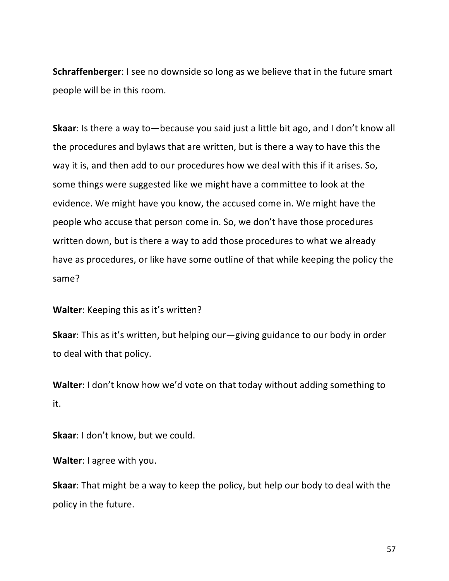**Schraffenberger**: I see no downside so long as we believe that in the future smart people will be in this room.

**Skaar**: Is there a way to—because you said just a little bit ago, and I don't know all the procedures and bylaws that are written, but is there a way to have this the way it is, and then add to our procedures how we deal with this if it arises. So, some things were suggested like we might have a committee to look at the evidence. We might have you know, the accused come in. We might have the people who accuse that person come in. So, we don't have those procedures written down, but is there a way to add those procedures to what we already have as procedures, or like have some outline of that while keeping the policy the same?

**Walter:** Keeping this as it's written?

**Skaar:** This as it's written, but helping our—giving guidance to our body in order to deal with that policy.

**Walter:** I don't know how we'd vote on that today without adding something to it.

**Skaar:** I don't know, but we could.

**Walter**: I agree with you.

**Skaar:** That might be a way to keep the policy, but help our body to deal with the policy in the future.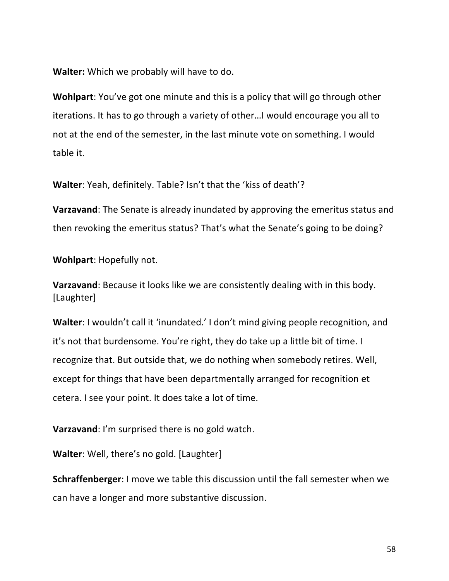**Walter:** Which we probably will have to do.

**Wohlpart:** You've got one minute and this is a policy that will go through other iterations. It has to go through a variety of other...I would encourage you all to not at the end of the semester, in the last minute vote on something. I would table it.

**Walter:** Yeah, definitely. Table? Isn't that the 'kiss of death'?

**Varzavand**: The Senate is already inundated by approving the emeritus status and then revoking the emeritus status? That's what the Senate's going to be doing?

**Wohlpart: Hopefully not.** 

**Varzavand**: Because it looks like we are consistently dealing with in this body. [Laughter] 

**Walter:** I wouldn't call it 'inundated.' I don't mind giving people recognition, and it's not that burdensome. You're right, they do take up a little bit of time. I recognize that. But outside that, we do nothing when somebody retires. Well, except for things that have been departmentally arranged for recognition et cetera. I see your point. It does take a lot of time.

**Varzavand:** I'm surprised there is no gold watch.

**Walter:** Well, there's no gold. [Laughter]

**Schraffenberger**: I move we table this discussion until the fall semester when we can have a longer and more substantive discussion.